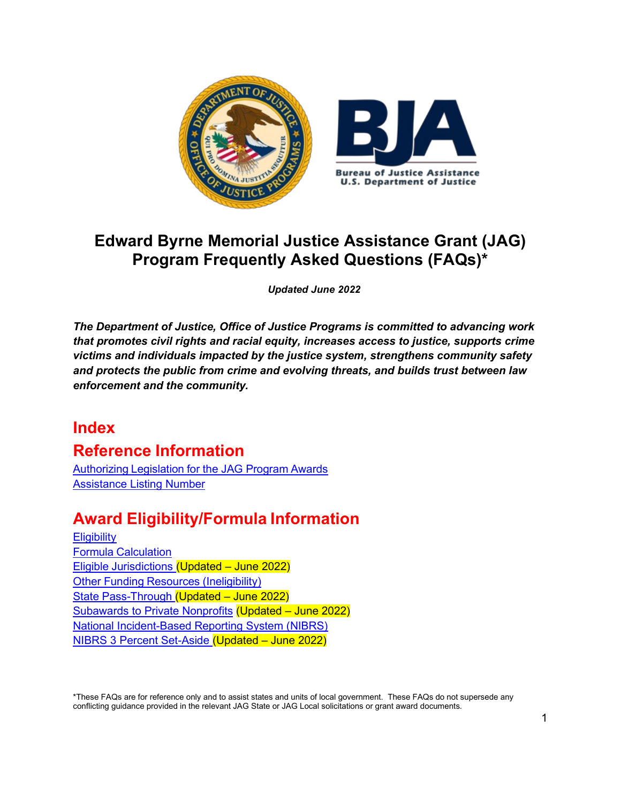

# **Edward Byrne Memorial Justice Assistance Grant (JAG) Program Frequently Asked Questions (FAQs)\***

*Updated June 2022*

*The Department of Justice, Office of Justice Programs is committed to advancing work that promotes civil rights and racial equity, increases access to justice, supports crime victims and individuals impacted by the justice system, strengthens community safety and protects the public from crime and evolving threats, and builds trust between law enforcement and the community.*

# **Index**

# **Reference Information**

[Authorizing](#page-3-0) Legislation for the JAG Program Awards [Assistance Listing Number](#page-3-1)

# **Award Eligibility/Formula Information**

**[Eligibility](#page-3-2)** Formula [Calculation](#page-4-0) Eligible [Jurisdictions](#page-5-0) (Updated – June 2022) Other Funding Resources [\(Ineligibility\)](#page-5-1) State [Pass-Through](#page-5-2) (Updated – June 2022) [Subawards to Private Nonprofits](#page-6-0) (Updated – June 2022) [National Incident-Based Reporting System \(NIBRS\)](#page-7-0) [NIBRS 3 Percent Set-Aside](#page-7-0) (Updated – June 2022)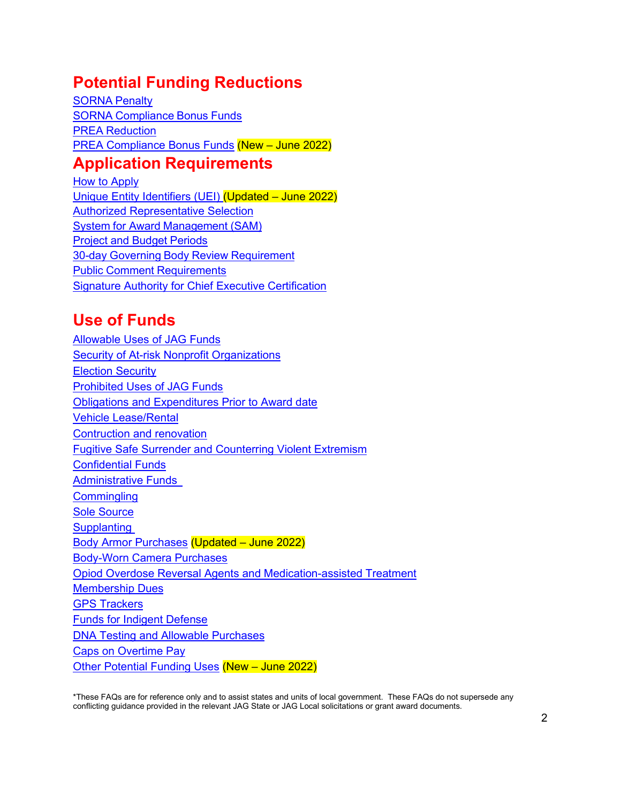# **Potential Funding Reductions**

[SORNA](#page-8-0) Penalty SORNA [Compliance](#page-9-0) Bonus Funds PREA [Reduction](#page-10-0) PREA [Compliance](#page-10-1) Bonus Funds (New – June 2022)

# **Application Requirements**

[How to Apply](#page-11-0) [Unique Entity Identifiers](#page-11-1) (UEI) (Updated – June 2022) [Authorized Representative Selection](#page-12-0) System for Award [Management](#page-12-1) (SAM) Project and Budget [Periods](#page-12-2) 30-day Governing Body Review [Requirement](#page-13-0) Public Comment [Requirements](#page-13-0) [Signature Authority for Chief Executive Certification](#page-13-0)

# **Use of Funds**

<span id="page-1-0"></span>[Allowable Uses of JAG Funds](#page-14-0) [Security of At-risk Nonprofit Organizations](#page-15-0) [Election Security](#page-15-1) [Prohibited Uses](#page-15-1) of JAG Funds [Obligations and Expenditures Prior to Award date](#page-17-0) [Vehicle Lease/Rental](#page-18-0) [Contruction and renovation](#page-18-1) [Fugitive Safe Surrender and Counterring Violent Extremism](#page-19-0) [Confidential Funds](#page-18-2) [Administrative Funds](#page-19-1) **[Commingling](#page-1-0)** [Sole Source](#page-19-2) **Supplanting** [Body Armor Purchases](#page-21-0) (Updated – June 2022) [Body-Worn Camera Purchases](#page-22-0) [Opiod Overdose Reversal Agents and Medication-assisted Treatment](#page-23-0) [Membership Dues](#page-23-1) [GPS Trackers](#page-23-2) [Funds for Indigent Defense](#page-23-3) DNA Testing [and Allowable Purchases](#page-24-0) [Caps on Overtime Pay](#page-24-1) [Other Potential Funding Uses](#page-25-0) (New – June 2022)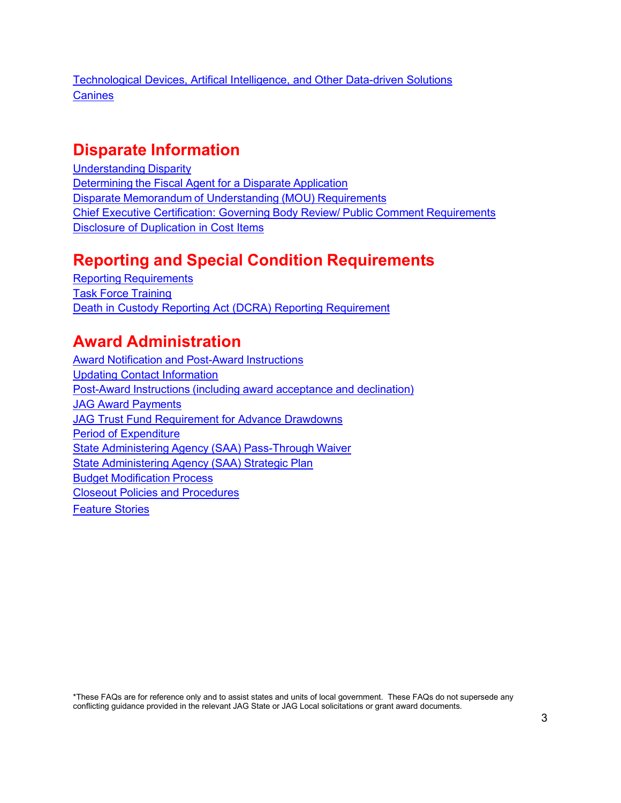[Technological Devices, Artifical Intelligence, and Other Data-driven Solutions](#page-26-0) **[Canines](#page-26-1)** 

# **Disparate Information**

[Understanding](#page-26-2) Disparity [Determining](#page-27-0) the Fiscal Agent for a Disparate Application Disparate Memorandum of [Understanding](#page-27-0) (MOU) Requirements [Chief Executive Certification: Governing](#page-27-1) Body Review/ Public Comment Requirements [Disclosure of Duplication](#page-27-2) in Cost Items

# **Reporting and Special Condition Requirements**

Reporting [Requirements](#page-28-0) Task Force [Training](#page-29-0) [Death in Custody Reporting Act \(DCRA\) Reporting Requirement](#page-30-0)

# **Award Administration**

Award Notification and [Post-Award](#page-31-0) Instructions [Updating Contact Information](#page-31-1) [Post-Award](#page-31-2) Instructions (including award acceptance and declination) JAG Award [Payments](#page-31-3) [JAG Trust Fund Requirement for Advance Drawdowns](#page-32-0) Period of [Expenditure](#page-32-1) State Administering Agency (SAA) [Pass-Through](#page-32-2) Waiver State [Administering](#page-32-3) Agency (SAA) Strategic Plan Budget [Modification](#page-33-0) Process Closeout Policies and [Procedures](#page-34-0) [Feature Stories](#page-34-1)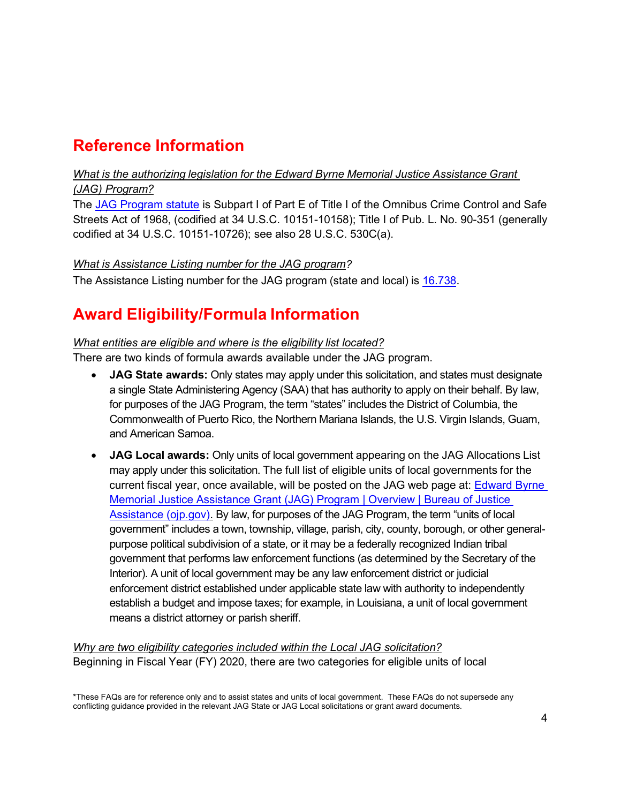# **Reference Information**

#### <span id="page-3-0"></span>*What is the authorizing legislation for the Edward Byrne Memorial Justice Assistance Grant (JAG) Program?*

The [JAG Program statute](https://uscode.house.gov/view.xhtml?path=/prelim@title34/subtitle1/chapter101/subchapter5/partA&edition=prelim) is Subpart I of Part E of Title I of the Omnibus Crime Control and Safe Streets Act of 1968, (codified at 34 U.S.C. 10151-10158); Title I of Pub. L. No. 90-351 (generally codified at 34 U.S.C. 10151-10726); see also 28 U.S.C. 530C(a).

#### <span id="page-3-1"></span>*What is Assistance Listing number for the JAG program?*

The Assistance Listing number for the JAG program (state and local) is [16.738.](https://sam.gov/fal/9f5bc1d0c6c44326b584b4bd83c21a1e/view)

# **Award Eligibility/Formula Information**

#### <span id="page-3-2"></span>*What entities are eligible and where is the eligibility list located?*

There are two kinds of formula awards available under the JAG program.

- **JAG State awards:** Only states may apply under this solicitation, and states must designate a single State Administering Agency (SAA) that has authority to apply on their behalf. By law, for purposes of the JAG Program, the term "states" includes the District of Columbia, the Commonwealth of Puerto Rico, the Northern Mariana Islands, the U.S. Virgin Islands, Guam, and American Samoa.
- **JAG Local awards:** Only units of local government appearing on the JAG Allocations List may apply under this solicitation. The full list of eligible units of local governments for the current fiscal year, once available, will be posted on the JAG web page at: **Edward Byrne** [Memorial Justice Assistance Grant \(JAG\) Program | Overview | Bureau of Justice](https://bja.ojp.gov/program/jag/overview?Program_ID=59)  [Assistance \(ojp.gov\).](https://bja.ojp.gov/program/jag/overview?Program_ID=59) By law, for purposes of the JAG Program, the term "units of local government" includes a town, township, village, parish, city, county, borough, or other generalpurpose political subdivision of a state, or it may be a federally recognized Indian tribal government that performs law enforcement functions (as determined by the Secretary of the Interior). A unit of local government may be any law enforcement district or judicial enforcement district established under applicable state law with authority to independently establish a budget and impose taxes; for example, in Louisiana, a unit of local government means a district attorney or parish sheriff.

*Why are two eligibility categories included within the Local JAG solicitation?* Beginning in Fiscal Year (FY) 2020, there are two categories for eligible units of local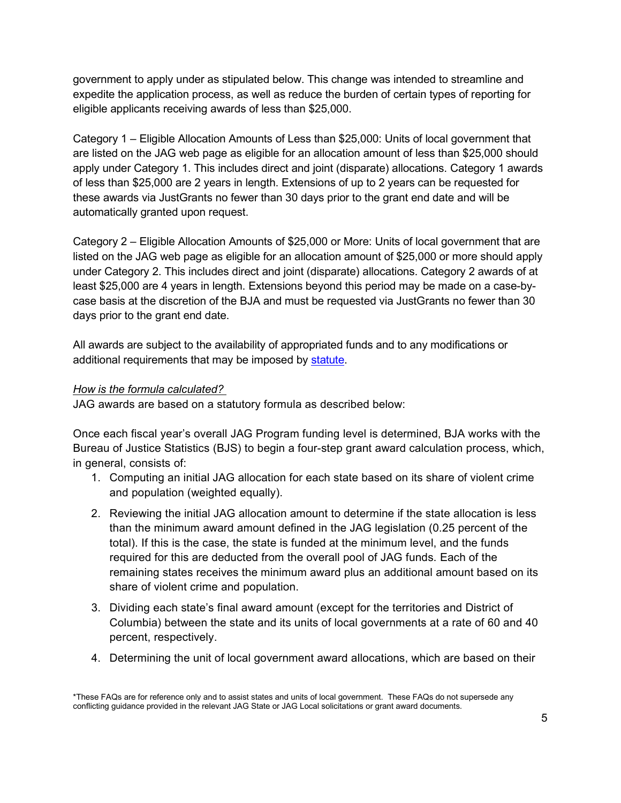government to apply under as stipulated below. This change was intended to streamline and expedite the application process, as well as reduce the burden of certain types of reporting for eligible applicants receiving awards of less than \$25,000.

Category 1 – Eligible Allocation Amounts of Less than \$25,000: Units of local government that are listed on the JAG web page as eligible for an allocation amount of less than \$25,000 should apply under Category 1. This includes direct and joint (disparate) allocations. Category 1 awards of less than \$25,000 are 2 years in length. Extensions of up to 2 years can be requested for these awards via JustGrants no fewer than 30 days prior to the grant end date and will be automatically granted upon request.

Category 2 – Eligible Allocation Amounts of \$25,000 or More: Units of local government that are listed on the JAG web page as eligible for an allocation amount of \$25,000 or more should apply under Category 2. This includes direct and joint (disparate) allocations. Category 2 awards of at least \$25,000 are 4 years in length. Extensions beyond this period may be made on a case-bycase basis at the discretion of the BJA and must be requested via JustGrants no fewer than 30 days prior to the grant end date.

All awards are subject to the availability of appropriated funds and to any modifications or additional requirements that may be imposed by [statute.](https://uscode.house.gov/view.xhtml?path=/prelim@title34/subtitle1/chapter101/subchapter5/partA&edition=prelim)

#### <span id="page-4-0"></span>*How is the formula calculated?*

JAG awards are based on a statutory formula as described below:

Once each fiscal year's overall JAG Program funding level is determined, BJA works with the Bureau of Justice Statistics (BJS) to begin a four-step grant award calculation process, which, in general, consists of:

- 1. Computing an initial JAG allocation for each state based on its share of violent crime and population (weighted equally).
- 2. Reviewing the initial JAG allocation amount to determine if the state allocation is less than the minimum award amount defined in the JAG legislation (0.25 percent of the total). If this is the case, the state is funded at the minimum level, and the funds required for this are deducted from the overall pool of JAG funds. Each of the remaining states receives the minimum award plus an additional amount based on its share of violent crime and population.
- 3. Dividing each state's final award amount (except for the territories and District of Columbia) between the state and its units of local governments at a rate of 60 and 40 percent, respectively.
- 4. Determining the unit of local government award allocations, which are based on their

<sup>\*</sup>These FAQs are for reference only and to assist states and units of local government. These FAQs do not supersede any conflicting guidance provided in the relevant JAG State or JAG Local solicitations or grant award documents.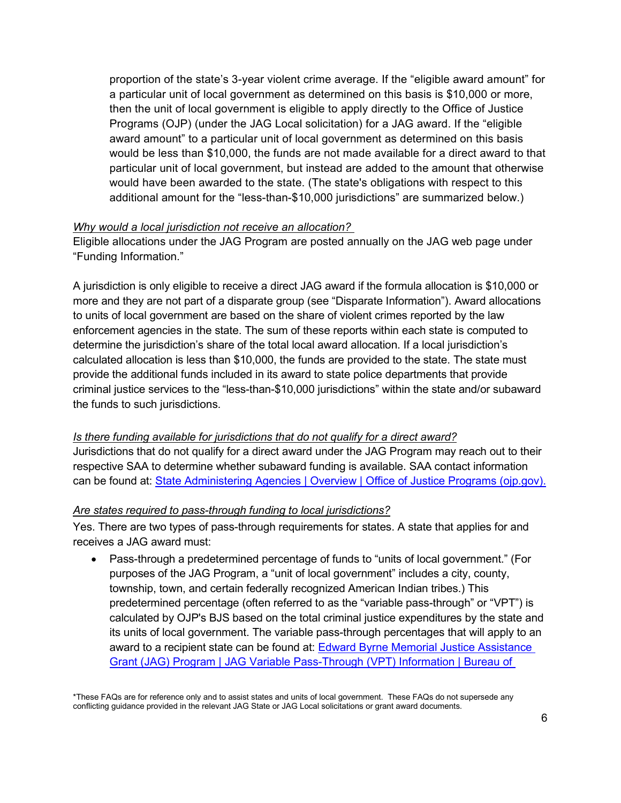proportion of the state's 3-year violent crime average. If the "eligible award amount" for a particular unit of local government as determined on this basis is \$10,000 or more, then the unit of local government is eligible to apply directly to the Office of Justice Programs (OJP) (under the JAG Local solicitation) for a JAG award. If the "eligible award amount" to a particular unit of local government as determined on this basis would be less than \$10,000, the funds are not made available for a direct award to that particular unit of local government, but instead are added to the amount that otherwise would have been awarded to the state. (The state's obligations with respect to this additional amount for the "less-than-\$10,000 jurisdictions" are summarized below.)

#### <span id="page-5-0"></span>*Why would a local jurisdiction not receive an allocation?*

Eligible allocations under the JAG Program are posted annually on the JAG web page under "Funding Information."

A jurisdiction is only eligible to receive a direct JAG award if the formula allocation is \$10,000 or more and they are not part of a disparate group (see "Disparate Information"). Award allocations to units of local government are based on the share of violent crimes reported by the law enforcement agencies in the state. The sum of these reports within each state is computed to determine the jurisdiction's share of the total local award allocation. If a local jurisdiction's calculated allocation is less than \$10,000, the funds are provided to the state. The state must provide the additional funds included in its award to state police departments that provide criminal justice services to the "less-than-\$10,000 jurisdictions" within the state and/or subaward the funds to such jurisdictions.

<span id="page-5-1"></span>*Is there funding available for jurisdictions that do not qualify for a direct award?* Jurisdictions that do not qualify for a direct award under the JAG Program may reach out to their respective SAA to determine whether subaward funding is available. SAA contact information can be found at: [State Administering Agencies | Overview | Office of Justice Programs \(ojp.gov\).](https://www.ojp.gov/funding/state-administering-agencies/overview)

#### <span id="page-5-2"></span>*Are states required to pass-through funding to local jurisdictions?*

Yes. There are two types of pass-through requirements for states. A state that applies for and receives a JAG award must:

• Pass-through a predetermined percentage of funds to "units of local government." (For purposes of the JAG Program, a "unit of local government" includes a city, county, township, town, and certain federally recognized American Indian tribes.) This predetermined percentage (often referred to as the "variable pass-through" or "VPT") is calculated by OJP's BJS based on the total criminal justice expenditures by the state and its units of local government. The variable pass-through percentages that will apply to an award to a recipient state can be found at: **Edward Byrne Memorial Justice Assistance** [Grant \(JAG\) Program | JAG Variable Pass-Through \(VPT\) Information | Bureau of](https://bja.ojp.gov/program/jag/jag-variable-pass-through-vpt-information)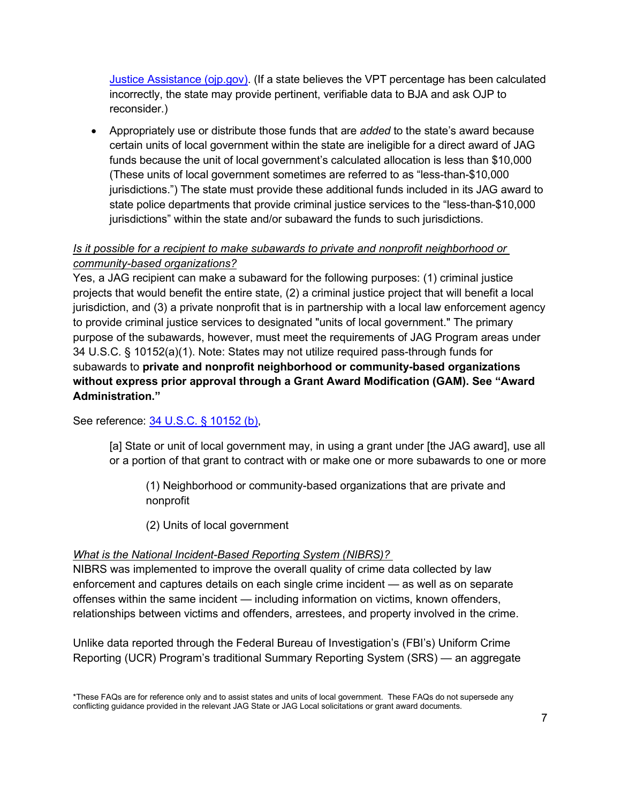[Justice Assistance \(ojp.gov\).](https://bja.ojp.gov/program/jag/jag-variable-pass-through-vpt-information) (If a state believes the VPT percentage has been calculated incorrectly, the state may provide pertinent, verifiable data to BJA and ask OJP to reconsider.)

• Appropriately use or distribute those funds that are *added* to the state's award because certain units of local government within the state are ineligible for a direct award of JAG funds because the unit of local government's calculated allocation is less than \$10,000 (These units of local government sometimes are referred to as "less-than-\$10,000 jurisdictions.") The state must provide these additional funds included in its JAG award to state police departments that provide criminal justice services to the "less-than-\$10,000 jurisdictions" within the state and/or subaward the funds to such jurisdictions.

# <span id="page-6-0"></span>*Is it possible for a recipient to make subawards to private and nonprofit neighborhood or community-based organizations?*

Yes, a JAG recipient can make a subaward for the following purposes: (1) criminal justice projects that would benefit the entire state, (2) a criminal justice project that will benefit a local jurisdiction, and (3) a private nonprofit that is in partnership with a local law enforcement agency to provide criminal justice services to designated "units of local government." The primary purpose of the subawards, however, must meet the requirements of JAG Program areas under 34 U.S.C. § 10152(a)(1). Note: States may not utilize required pass-through funds for subawards to **private and nonprofit neighborhood or community-based organizations without express prior approval through a Grant Award Modification (GAM). See "Award Administration."**

See reference: [34 U.S.C. § 10152](https://uscode.house.gov/view.xhtml?path=/prelim@title34/subtitle1/chapter101/subchapter5/partA&edition=prelim) (b),

[a] State or unit of local government may, in using a grant under [the JAG award], use all or a portion of that grant to contract with or make one or more subawards to one or more

(1) Neighborhood or community-based organizations that are private and nonprofit

(2) Units of local government

#### *What is the National Incident-Based Reporting System (NIBRS)?*

NIBRS was implemented to improve the overall quality of crime data collected by law enforcement and captures details on each single crime incident — as well as on separate offenses within the same incident — including information on victims, known offenders, relationships between victims and offenders, arrestees, and property involved in the crime.

Unlike data reported through the Federal Bureau of Investigation's (FBI's) Uniform Crime Reporting (UCR) Program's traditional Summary Reporting System (SRS) — an aggregate

<sup>\*</sup>These FAQs are for reference only and to assist states and units of local government. These FAQs do not supersede any conflicting guidance provided in the relevant JAG State or JAG Local solicitations or grant award documents.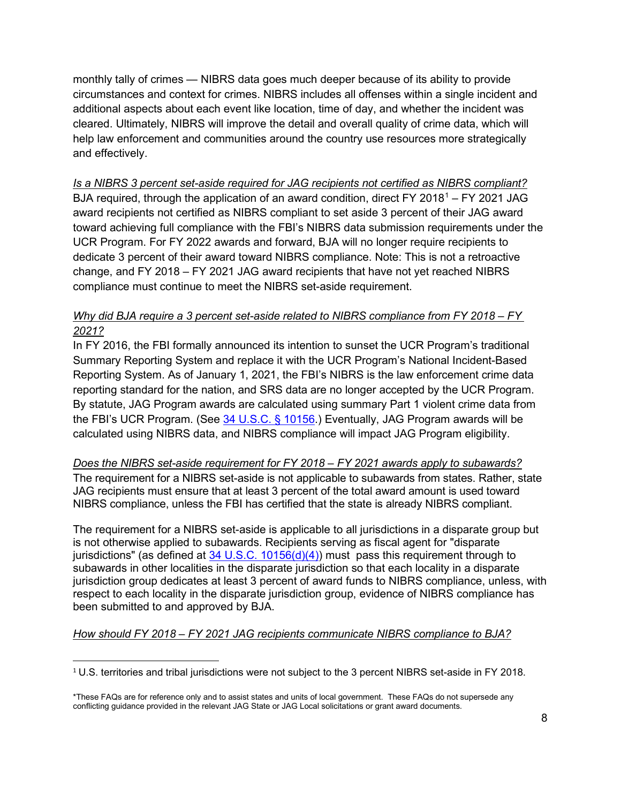monthly tally of crimes — NIBRS data goes much deeper because of its ability to provide circumstances and context for crimes. NIBRS includes all offenses within a single incident and additional aspects about each event like location, time of day, and whether the incident was cleared. Ultimately, NIBRS will improve the detail and overall quality of crime data, which will help law enforcement and communities around the country use resources more strategically and effectively.

<span id="page-7-0"></span>*Is a NIBRS 3 percent set-aside required for JAG recipients not certified as NIBRS compliant?* BJA required, through the application of an award condition, direct FY 20[1](#page-7-1)8<sup>1</sup> – FY 2021 JAG award recipients not certified as NIBRS compliant to set aside 3 percent of their JAG award toward achieving full compliance with the FBI's NIBRS data submission requirements under the UCR Program. For FY 2022 awards and forward, BJA will no longer require recipients to dedicate 3 percent of their award toward NIBRS compliance. Note: This is not a retroactive change, and FY 2018 – FY 2021 JAG award recipients that have not yet reached NIBRS compliance must continue to meet the NIBRS set-aside requirement.

#### *Why did BJA require a 3 percent set-aside related to NIBRS compliance from FY 2018 – FY 2021?*

In FY 2016, the FBI formally announced its intention to sunset the UCR Program's traditional Summary Reporting System and replace it with the UCR Program's National Incident-Based Reporting System. As of January 1, 2021, the FBI's NIBRS is the law enforcement crime data reporting standard for the nation, and SRS data are no longer accepted by the UCR Program. By statute, JAG Program awards are calculated using summary Part 1 violent crime data from the FBI's UCR Program. (See [34 U.S.C. § 10156.](https://uscode.house.gov/view.xhtml?path=/prelim@title34/subtitle1/chapter101/subchapter5/partA&edition=prelim)) Eventually, JAG Program awards will be calculated using NIBRS data, and NIBRS compliance will impact JAG Program eligibility.

#### *Does the NIBRS set-aside requirement for FY 2018 – FY 2021 awards apply to subawards?*

The requirement for a NIBRS set-aside is not applicable to subawards from states. Rather, state JAG recipients must ensure that at least 3 percent of the total award amount is used toward NIBRS compliance, unless the FBI has certified that the state is already NIBRS compliant.

The requirement for a NIBRS set-aside is applicable to all jurisdictions in a disparate group but is not otherwise applied to subawards. Recipients serving as fiscal agent for "disparate jurisdictions" (as defined at  $34 \text{ U.S.C. } 10156(d)(4)$ ) must pass this requirement through to subawards in other localities in the disparate jurisdiction so that each locality in a disparate jurisdiction group dedicates at least 3 percent of award funds to NIBRS compliance, unless, with respect to each locality in the disparate jurisdiction group, evidence of NIBRS compliance has been submitted to and approved by BJA.

#### *How should FY 2018 – FY 2021 JAG recipients communicate NIBRS compliance to BJA?*

<span id="page-7-1"></span><sup>1</sup> U.S. territories and tribal jurisdictions were not subject to the 3 percent NIBRS set-aside in FY 2018.

<sup>\*</sup>These FAQs are for reference only and to assist states and units of local government. These FAQs do not supersede any conflicting guidance provided in the relevant JAG State or JAG Local solicitations or grant award documents.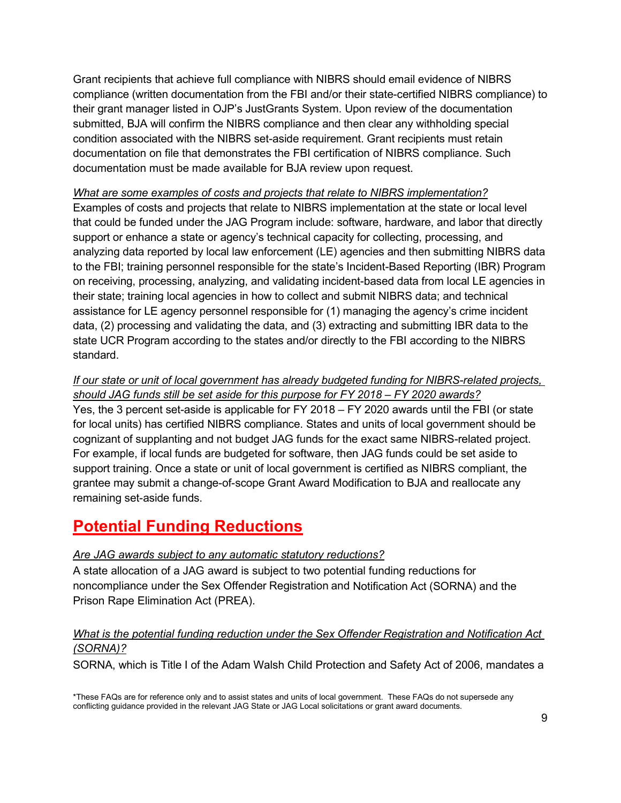Grant recipients that achieve full compliance with NIBRS should email evidence of NIBRS compliance (written documentation from the FBI and/or their state-certified NIBRS compliance) to their grant manager listed in OJP's JustGrants System. Upon review of the documentation submitted, BJA will confirm the NIBRS compliance and then clear any withholding special condition associated with the NIBRS set-aside requirement. Grant recipients must retain documentation on file that demonstrates the FBI certification of NIBRS compliance. Such documentation must be made available for BJA review upon request.

#### *What are some examples of costs and projects that relate to NIBRS implementation?*

Examples of costs and projects that relate to NIBRS implementation at the state or local level that could be funded under the JAG Program include: software, hardware, and labor that directly support or enhance a state or agency's technical capacity for collecting, processing, and analyzing data reported by local law enforcement (LE) agencies and then submitting NIBRS data to the FBI; training personnel responsible for the state's Incident-Based Reporting (IBR) Program on receiving, processing, analyzing, and validating incident-based data from local LE agencies in their state; training local agencies in how to collect and submit NIBRS data; and technical assistance for LE agency personnel responsible for (1) managing the agency's crime incident data, (2) processing and validating the data, and (3) extracting and submitting IBR data to the state UCR Program according to the states and/or directly to the FBI according to the NIBRS standard.

#### *If our state or unit of local government has already budgeted funding for NIBRS-related projects, should JAG funds still be set aside for this purpose for FY 2018 – FY 2020 awards?*

Yes, the 3 percent set-aside is applicable for FY 2018 – FY 2020 awards until the FBI (or state for local units) has certified NIBRS compliance. States and units of local government should be cognizant of supplanting and not budget JAG funds for the exact same NIBRS-related project. For example, if local funds are budgeted for software, then JAG funds could be set aside to support training. Once a state or unit of local government is certified as NIBRS compliant, the grantee may submit a change-of-scope Grant Award Modification to BJA and reallocate any remaining set-aside funds.

# **Potential Funding Reductions**

#### *Are JAG awards subject to any automatic statutory reductions?*

A state allocation of a JAG award is subject to two potential funding reductions for noncompliance under the Sex Offender Registration and Notification Act (SORNA) and the Prison Rape Elimination Act (PREA).

#### <span id="page-8-0"></span>*What is the potential funding reduction under the Sex Offender Registration and Notification Act (SORNA)?*

SORNA, which is Title I of the Adam Walsh Child Protection and Safety Act of 2006, mandates a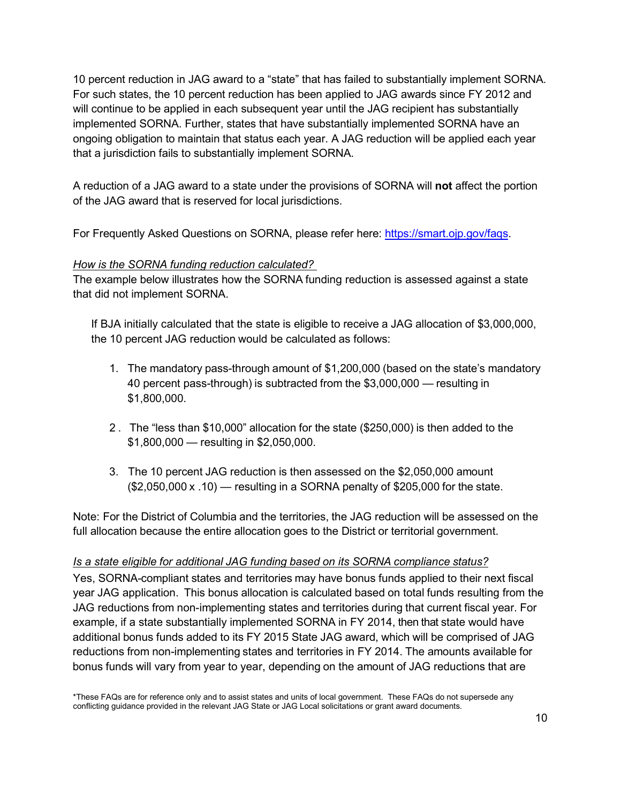10 percent reduction in JAG award to a "state" that has failed to substantially implement SORNA. For such states, the 10 percent reduction has been applied to JAG awards since FY 2012 and will continue to be applied in each subsequent year until the JAG recipient has substantially implemented SORNA. Further, states that have substantially implemented SORNA have an ongoing obligation to maintain that status each year. A JAG reduction will be applied each year that a jurisdiction fails to substantially implement SORNA.

A reduction of a JAG award to a state under the provisions of SORNA will **not** affect the portion of the JAG award that is reserved for local jurisdictions.

For Frequently Asked Questions on SORNA, please refer here: [https://smart.ojp.gov/faqs.](https://smart.ojp.gov/faqs)

#### *How is the SORNA funding reduction calculated?*

The example below illustrates how the SORNA funding reduction is assessed against a state that did not implement SORNA.

If BJA initially calculated that the state is eligible to receive a JAG allocation of \$3,000,000, the 10 percent JAG reduction would be calculated as follows:

- 1. The mandatory pass-through amount of \$1,200,000 (based on the state's mandatory 40 percent pass-through) is subtracted from the \$3,000,000 — resulting in \$1,800,000.
- 2. The "less than \$10,000" allocation for the state (\$250,000) is then added to the \$1,800,000 — resulting in \$2,050,000.
- 3. The 10 percent JAG reduction is then assessed on the \$2,050,000 amount (\$2,050,000 x .10) — resulting in a SORNA penalty of \$205,000 for the state.

Note: For the District of Columbia and the territories, the JAG reduction will be assessed on the full allocation because the entire allocation goes to the District or territorial government.

#### <span id="page-9-0"></span>*Is a state eligible for additional JAG funding based on its SORNA compliance status?*

Yes, SORNA-compliant states and territories may have bonus funds applied to their next fiscal year JAG application. This bonus allocation is calculated based on total funds resulting from the JAG reductions from non-implementing states and territories during that current fiscal year. For example, if a state substantially implemented SORNA in FY 2014, then that state would have additional bonus funds added to its FY 2015 State JAG award, which will be comprised of JAG reductions from non-implementing states and territories in FY 2014. The amounts available for bonus funds will vary from year to year, depending on the amount of JAG reductions that are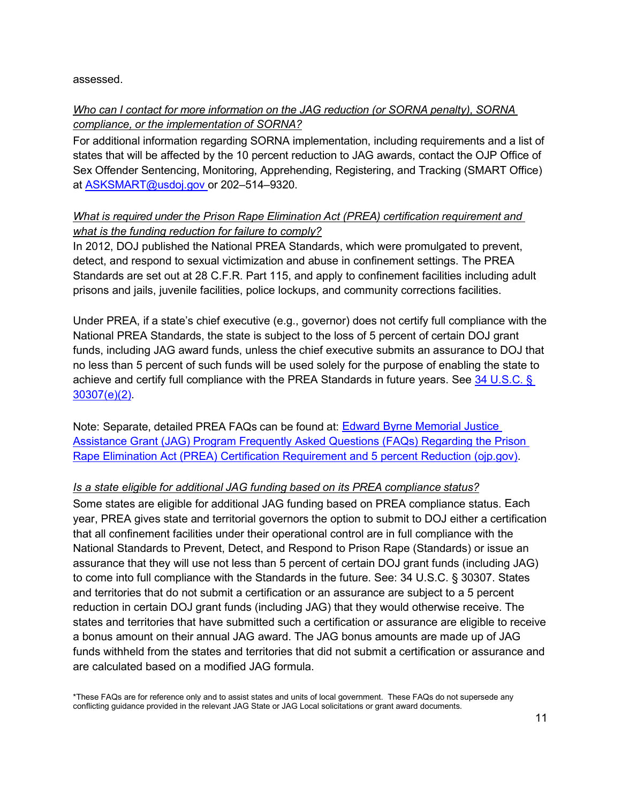assessed.

# *Who can I contact for more information on the JAG reduction (or SORNA penalty), SORNA compliance, or the implementation of SORNA?*

For additional information regarding SORNA implementation, including requirements and a list of states that will be affected by the 10 percent reduction to JAG awards, contact the OJP Office of Sex Offender Sentencing, Monitoring, Apprehending, Registering, and Tracking (SMART Office) at [ASKSMART@usdoj.gov o](mailto:ASKSMART@usdoj.gov)r 202–514–9320.

# <span id="page-10-0"></span>*What is required under the Prison Rape Elimination Act (PREA) certification requirement and what is the funding reduction for failure to comply?*

In 2012, DOJ published the National PREA Standards, which were promulgated to prevent, detect, and respond to sexual victimization and abuse in confinement settings. The PREA Standards are set out at 28 C.F.R. Part 115, and apply to confinement facilities including adult prisons and jails, juvenile facilities, police lockups, and community corrections facilities.

Under PREA, if a state's chief executive (e.g., governor) does not certify full compliance with the National PREA Standards, the state is subject to the loss of 5 percent of certain DOJ grant funds, including JAG award funds, unless the chief executive submits an assurance to DOJ that no less than 5 percent of such funds will be used solely for the purpose of enabling the state to achieve and certify full compliance with the PREA Standards in future years. See [34 U.S.C. §](https://uscode.house.gov/statutes/pl/114/324.pdf)  [30307\(e\)\(2\).](https://uscode.house.gov/statutes/pl/114/324.pdf)

Note: Separate, detailed PREA FAQs can be found at: [Edward Byrne Memorial Justice](https://bja.ojp.gov/sites/g/files/xyckuh186/files/media/document/JAG-PREA-FAQ_0.pdf)  [Assistance Grant \(JAG\) Program Frequently Asked Questions \(FAQs\) Regarding the Prison](https://bja.ojp.gov/sites/g/files/xyckuh186/files/media/document/JAG-PREA-FAQ_0.pdf)  [Rape Elimination Act \(PREA\) Certification Requirement and 5 percent Reduction \(ojp.gov\).](https://bja.ojp.gov/sites/g/files/xyckuh186/files/media/document/JAG-PREA-FAQ_0.pdf)

#### <span id="page-10-1"></span>*Is a state eligible for additional JAG funding based on its PREA compliance status?*

Some states are eligible for additional JAG funding based on PREA compliance status. Each year, PREA gives state and territorial governors the option to submit to DOJ either a certification that all confinement facilities under their operational control are in full compliance with the National Standards to Prevent, Detect, and Respond to Prison Rape (Standards) or issue an assurance that they will use not less than 5 percent of certain DOJ grant funds (including JAG) to come into full compliance with the Standards in the future. See: 34 U.S.C. § 30307. States and territories that do not submit a certification or an assurance are subject to a 5 percent reduction in certain DOJ grant funds (including JAG) that they would otherwise receive. The states and territories that have submitted such a certification or assurance are eligible to receive a bonus amount on their annual JAG award. The JAG bonus amounts are made up of JAG funds withheld from the states and territories that did not submit a certification or assurance and are calculated based on a modified JAG formula.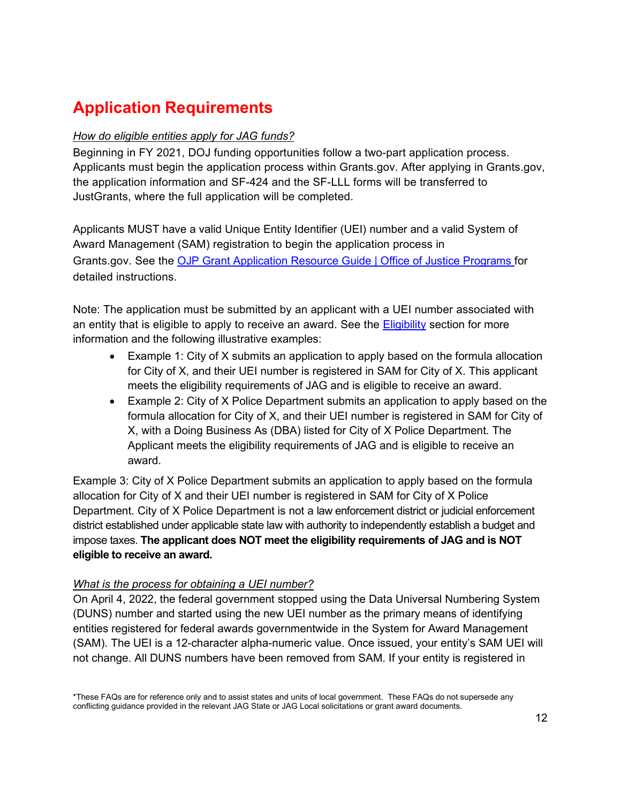# **Application Requirements**

#### <span id="page-11-0"></span>*How do eligible entities apply for JAG funds?*

Beginning in FY 2021, DOJ funding opportunities follow a two-part application process. Applicants must begin the application process within Grants.gov. After applying in Grants.gov, the application information and SF-424 and the SF-LLL forms will be transferred to JustGrants, where the full application will be completed.

Applicants MUST have a valid Unique Entity Identifier (UEI) number and a valid System of Award Management (SAM) registration to begin the application process in Grants.gov. See the [OJP Grant Application Resource Guide | Office of Justice Programs](https://www.ojp.gov/funding/apply/ojp-grant-application-resource-guide#ojp-application-submission-steps) for detailed instructions.

Note: The application must be submitted by an applicant with a UEI number associated with an entity that is eligible to apply to receive an award. See the [Eligibility](#page-3-2) section for more information and the following illustrative examples:

- Example 1: City of X submits an application to apply based on the formula allocation for City of X, and their UEI number is registered in SAM for City of X. This applicant meets the eligibility requirements of JAG and is eligible to receive an award.
- Example 2: City of X Police Department submits an application to apply based on the formula allocation for City of X, and their UEI number is registered in SAM for City of X, with a Doing Business As (DBA) listed for City of X Police Department. The Applicant meets the eligibility requirements of JAG and is eligible to receive an award.

Example 3: City of X Police Department submits an application to apply based on the formula allocation for City of X and their UEI number is registered in SAM for City of X Police Department. City of X Police Department is not a law enforcement district or judicial enforcement district established under applicable state law with authority to independently establish a budget and impose taxes. **The applicant does NOT meet the eligibility requirements of JAG and is NOT eligible to receive an award.**

#### <span id="page-11-1"></span>*What is the process for obtaining a UEI number?*

On April 4, 2022, the federal government stopped using the Data Universal Numbering System (DUNS) number and started using the new UEI number as the primary means of identifying entities registered for federal awards governmentwide in the System for Award Management (SAM). The UEI is a 12-character alpha-numeric value. Once issued, your entity's SAM UEI will not change. All DUNS numbers have been removed from SAM. If your entity is registered in

<sup>\*</sup>These FAQs are for reference only and to assist states and units of local government. These FAQs do not supersede any conflicting guidance provided in the relevant JAG State or JAG Local solicitations or grant award documents.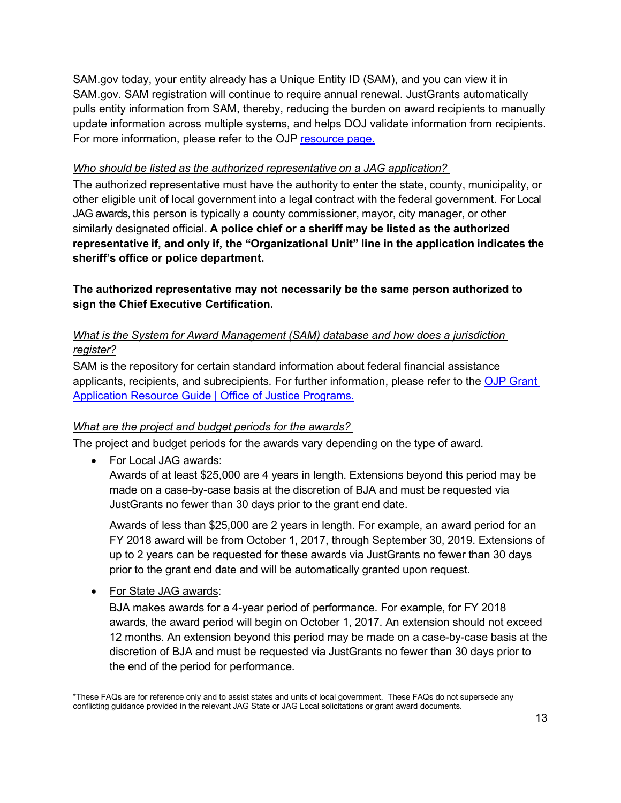SAM.gov today, your entity already has a Unique Entity ID (SAM), and you can view it in SAM.gov. SAM registration will continue to require annual renewal. JustGrants automatically pulls entity information from SAM, thereby, reducing the burden on award recipients to manually update information across multiple systems, and helps DOJ validate information from recipients. For more information, please refer to the OJP [resource page.](https://justicegrants.usdoj.gov/resources/system-for-award-management#transition-to-unique-entity-id-sam)

#### <span id="page-12-0"></span>*Who should be listed as the authorized representative on a JAG application?*

The authorized representative must have the authority to enter the state, county, municipality, or other eligible unit of local government into a legal contract with the federal government. For Local JAG awards, this person is typically a county commissioner, mayor, city manager, or other similarly designated official. **A police chief or a sheriff may be listed as the authorized representative if, and only if, the "Organizational Unit" line in the application indicates the sheriff's office or police department.**

**The authorized representative may not necessarily be the same person authorized to sign the Chief Executive Certification.**

#### <span id="page-12-1"></span>*What is the System for Award Management (SAM) database and how does a jurisdiction register?*

SAM is the repository for certain standard information about federal financial assistance applicants, recipients, and subrecipients. For further information, please refer to the [OJP Grant](https://www.ojp.gov/funding/apply/ojp-grant-application-resource-guide#ojp-application-submission-steps)  [Application Resource Guide | Office of Justice Programs.](https://www.ojp.gov/funding/apply/ojp-grant-application-resource-guide#ojp-application-submission-steps)

#### <span id="page-12-2"></span>*What are the project and budget periods for the awards?*

The project and budget periods for the awards vary depending on the type of award.

• For Local JAG awards:

Awards of at least \$25,000 are 4 years in length. Extensions beyond this period may be made on a case-by-case basis at the discretion of BJA and must be requested via JustGrants no fewer than 30 days prior to the grant end date.

Awards of less than \$25,000 are 2 years in length. For example, an award period for an FY 2018 award will be from October 1, 2017, through September 30, 2019. Extensions of up to 2 years can be requested for these awards via JustGrants no fewer than 30 days prior to the grant end date and will be automatically granted upon request.

• For State JAG awards:

BJA makes awards for a 4-year period of performance. For example, for FY 2018 awards, the award period will begin on October 1, 2017. An extension should not exceed 12 months. An extension beyond this period may be made on a case-by-case basis at the discretion of BJA and must be requested via JustGrants no fewer than 30 days prior to the end of the period for performance.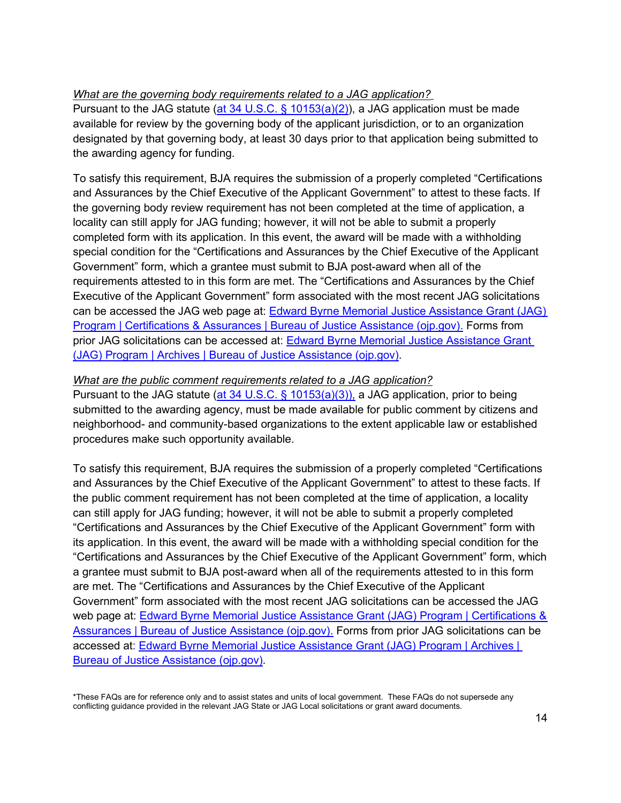#### <span id="page-13-0"></span>*What are the governing body requirements related to a JAG application?*

Pursuant to the JAG statute [\(at 34 U.S.C. § 10153\(a\)\(2\)\)](https://uscode.house.gov/view.xhtml?path=/prelim@title34/subtitle1/chapter101/subchapter5/partA&edition=prelim), a JAG application must be made available for review by the governing body of the applicant jurisdiction, or to an organization designated by that governing body, at least 30 days prior to that application being submitted to the awarding agency for funding.

To satisfy this requirement, BJA requires the submission of a properly completed "Certifications and Assurances by the Chief Executive of the Applicant Government" to attest to these facts. If the governing body review requirement has not been completed at the time of application, a locality can still apply for JAG funding; however, it will not be able to submit a properly completed form with its application. In this event, the award will be made with a withholding special condition for the "Certifications and Assurances by the Chief Executive of the Applicant Government" form, which a grantee must submit to BJA post-award when all of the requirements attested to in this form are met. The "Certifications and Assurances by the Chief Executive of the Applicant Government" form associated with the most recent JAG solicitations can be accessed the JAG web page at: **Edward Byrne Memorial Justice Assistance Grant (JAG)** [Program | Certifications & Assurances | Bureau of Justice Assistance \(ojp.gov\).](https://bja.ojp.gov/program/jag/certifications-assurances) Forms from prior JAG solicitations can be accessed at: [Edward Byrne Memorial Justice Assistance Grant](https://bja.ojp.gov/program/jag/archives)  [\(JAG\) Program | Archives | Bureau of Justice Assistance \(ojp.gov\).](https://bja.ojp.gov/program/jag/archives)

#### *What are the public comment requirements related to a JAG application?*

Pursuant to the JAG statute [\(at 34 U.S.C. § 10153\(a\)\(3\)\),](https://uscode.house.gov/view.xhtml?path=/prelim@title34/subtitle1/chapter101/subchapter5/partA&edition=prelim) a JAG application, prior to being submitted to the awarding agency, must be made available for public comment by citizens and neighborhood- and community-based organizations to the extent applicable law or established procedures make such opportunity available.

To satisfy this requirement, BJA requires the submission of a properly completed "Certifications and Assurances by the Chief Executive of the Applicant Government" to attest to these facts. If the public comment requirement has not been completed at the time of application, a locality can still apply for JAG funding; however, it will not be able to submit a properly completed "Certifications and Assurances by the Chief Executive of the Applicant Government" form with its application. In this event, the award will be made with a withholding special condition for the "Certifications and Assurances by the Chief Executive of the Applicant Government" form, which a grantee must submit to BJA post-award when all of the requirements attested to in this form are met. The "Certifications and Assurances by the Chief Executive of the Applicant Government" form associated with the most recent JAG solicitations can be accessed the JAG web page at: [Edward Byrne Memorial Justice Assistance Grant \(JAG\) Program | Certifications &](https://bja.ojp.gov/program/jag/certifications-assurances)  [Assurances | Bureau of Justice Assistance \(ojp.gov\).](https://bja.ojp.gov/program/jag/certifications-assurances) Forms from prior JAG solicitations can be accessed at: **Edward Byrne Memorial Justice Assistance Grant (JAG) Program | Archives |** [Bureau of Justice Assistance \(ojp.gov\).](https://bja.ojp.gov/program/jag/archives)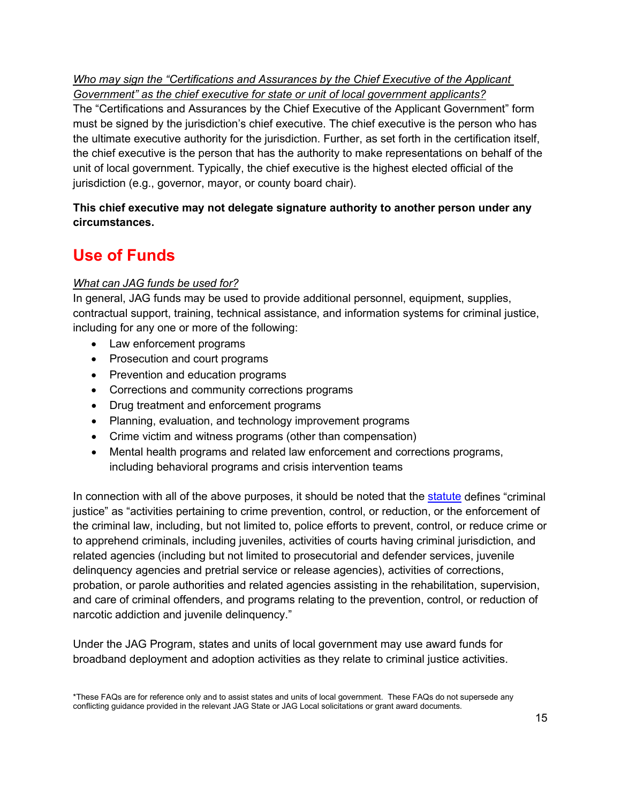*Who may sign the "Certifications and Assurances by the Chief Executive of the Applicant Government" as the chief executive for state or unit of local government applicants?*

The "Certifications and Assurances by the Chief Executive of the Applicant Government" form must be signed by the jurisdiction's chief executive. The chief executive is the person who has the ultimate executive authority for the jurisdiction. Further, as set forth in the certification itself, the chief executive is the person that has the authority to make representations on behalf of the unit of local government. Typically, the chief executive is the highest elected official of the jurisdiction (e.g., governor, mayor, or county board chair).

# **This chief executive may not delegate signature authority to another person under any circumstances.**

# **Use of Funds**

# <span id="page-14-0"></span>*What can JAG funds be used for?*

In general, JAG funds may be used to provide additional personnel, equipment, supplies, contractual support, training, technical assistance, and information systems for criminal justice, including for any one or more of the following:

- Law enforcement programs
- Prosecution and court programs
- Prevention and education programs
- Corrections and community corrections programs
- Drug treatment and enforcement programs
- Planning, evaluation, and technology improvement programs
- Crime victim and witness programs (other than compensation)
- Mental health programs and related law enforcement and corrections programs, including behavioral programs and crisis intervention teams

In connection with all of the above purposes, it should be noted that the [statute](https://uscode.house.gov/view.xhtml?req=(title:34%20section:10251%20edition:prelim)%20OR%20(granuleid:USC-prelim-title34-section10251)&f=treesort&edition=prelim&num=0&jumpTo=true) defines "criminal justice" as "activities pertaining to crime prevention, control, or reduction, or the enforcement of the criminal law, including, but not limited to, police efforts to prevent, control, or reduce crime or to apprehend criminals, including juveniles, activities of courts having criminal jurisdiction, and related agencies (including but not limited to prosecutorial and defender services, juvenile delinquency agencies and pretrial service or release agencies), activities of corrections, probation, or parole authorities and related agencies assisting in the rehabilitation, supervision, and care of criminal offenders, and programs relating to the prevention, control, or reduction of narcotic addiction and juvenile delinquency."

Under the JAG Program, states and units of local government may use award funds for broadband deployment and adoption activities as they relate to criminal justice activities.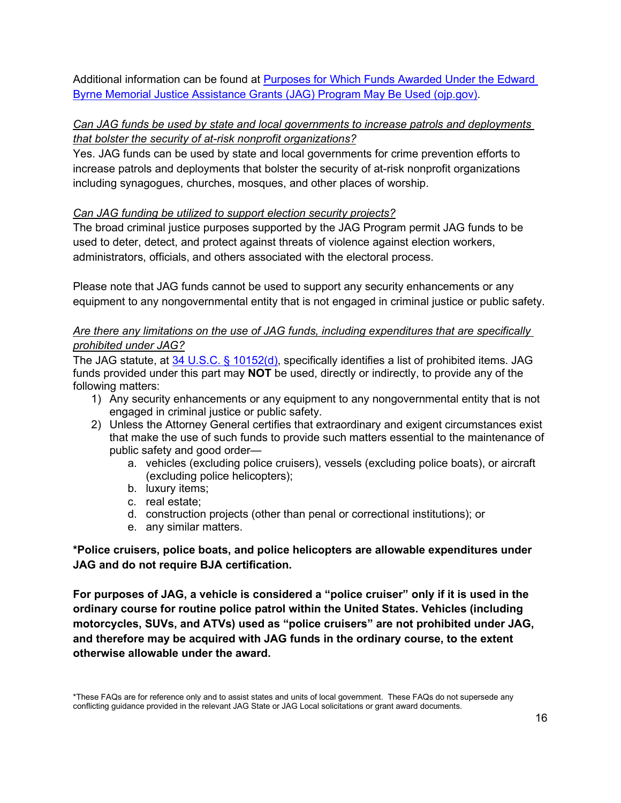Additional information can be found at [Purposes for Which Funds Awarded Under the Edward](https://bja.ojp.gov/sites/g/files/xyckuh186/files/media/document/jag-use-of-funds.pdf)  [Byrne Memorial Justice Assistance Grants \(JAG\) Program May Be Used \(ojp.gov\).](https://bja.ojp.gov/sites/g/files/xyckuh186/files/media/document/jag-use-of-funds.pdf)

#### <span id="page-15-0"></span>*Can JAG funds be used by state and local governments to increase patrols and deployments that bolster the security of at-risk nonprofit organizations?*

Yes. JAG funds can be used by state and local governments for crime prevention efforts to increase patrols and deployments that bolster the security of at-risk nonprofit organizations including synagogues, churches, mosques, and other places of worship.

#### <span id="page-15-1"></span>*Can JAG funding be utilized to support election security projects?*

The broad criminal justice purposes supported by the JAG Program permit JAG funds to be used to deter, detect, and protect against threats of violence against election workers, administrators, officials, and others associated with the electoral process.

Please note that JAG funds cannot be used to support any security enhancements or any equipment to any nongovernmental entity that is not engaged in criminal justice or public safety.

### *Are there any limitations on the use of JAG funds, including expenditures that are specifically prohibited under JAG?*

The JAG statute, at [34 U.S.C. § 10152\(d\),](https://uscode.house.gov/view.xhtml?req=(title:34%20section:10152%20edition:prelim)%20OR%20(granuleid:USC-prelim-title34-section10152)&f=treesort&edition=prelim&num=0&jumpTo=true) specifically identifies a list of prohibited items. JAG funds provided under this part may **NOT** be used, directly or indirectly, to provide any of the following matters:

- 1) Any security enhancements or any equipment to any nongovernmental entity that is not engaged in criminal justice or public safety.
- 2) Unless the Attorney General certifies that extraordinary and exigent circumstances exist that make the use of such funds to provide such matters essential to the maintenance of public safety and good order
	- a. vehicles (excluding police cruisers), vessels (excluding police boats), or aircraft (excluding police helicopters);
	- b. luxury items;
	- c. real estate;
	- d. construction projects (other than penal or correctional institutions); or
	- e. any similar matters.

#### **\*Police cruisers, police boats, and police helicopters are allowable expenditures under JAG and do not require BJA certification.**

**For purposes of JAG, a vehicle is considered a "police cruiser" only if it is used in the ordinary course for routine police patrol within the United States. Vehicles (including motorcycles, SUVs, and ATVs) used as "police cruisers" are not prohibited under JAG, and therefore may be acquired with JAG funds in the ordinary course, to the extent otherwise allowable under the award.**

<sup>\*</sup>These FAQs are for reference only and to assist states and units of local government. These FAQs do not supersede any conflicting guidance provided in the relevant JAG State or JAG Local solicitations or grant award documents.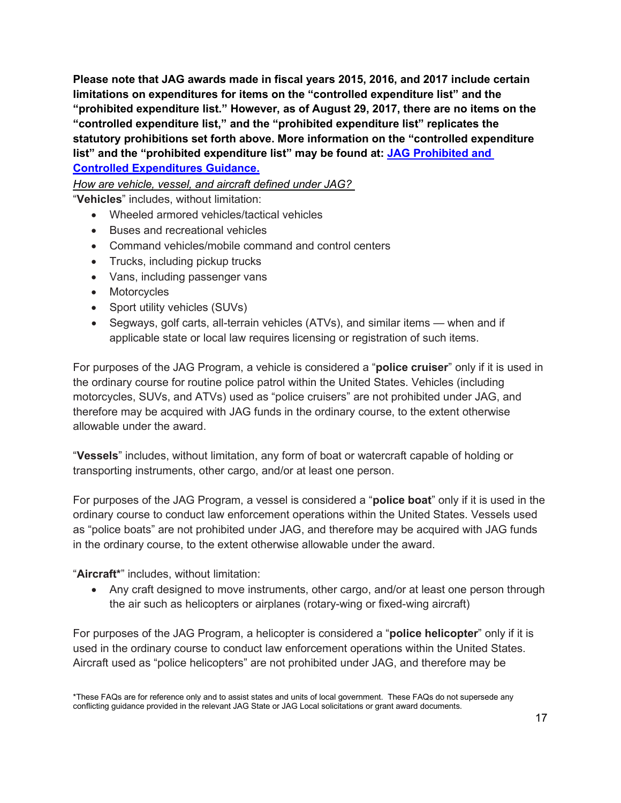**Please note that JAG awards made in fiscal years 2015, 2016, and 2017 include certain limitations on expenditures for items on the "controlled expenditure list" and the "prohibited expenditure list." However, as of August 29, 2017, there are no items on the "controlled expenditure list," and the "prohibited expenditure list" replicates the statutory prohibitions set forth above. More information on the "controlled expenditure list" and the "prohibited expenditure list" may be found at: [JAG Prohibited and](https://bja.ojp.gov/sites/g/files/xyckuh186/files/media/document/jagcontrolledpurchaselist.pdf)  [Controlled Expenditures Guidance.](https://bja.ojp.gov/sites/g/files/xyckuh186/files/media/document/jagcontrolledpurchaselist.pdf)**

*How are vehicle, vessel, and aircraft defined under JAG?* 

"**Vehicles**" includes, without limitation:

- Wheeled armored vehicles/tactical vehicles
- Buses and recreational vehicles
- Command vehicles/mobile command and control centers
- Trucks, including pickup trucks
- Vans, including passenger vans
- Motorcycles
- Sport utility vehicles (SUVs)
- Segways, golf carts, all-terrain vehicles (ATVs), and similar items when and if applicable state or local law requires licensing or registration of such items.

For purposes of the JAG Program, a vehicle is considered a "**police cruiser**" only if it is used in the ordinary course for routine police patrol within the United States. Vehicles (including motorcycles, SUVs, and ATVs) used as "police cruisers" are not prohibited under JAG, and therefore may be acquired with JAG funds in the ordinary course, to the extent otherwise allowable under the award.

"**Vessels**" includes, without limitation, any form of boat or watercraft capable of holding or transporting instruments, other cargo, and/or at least one person.

For purposes of the JAG Program, a vessel is considered a "**police boat**" only if it is used in the ordinary course to conduct law enforcement operations within the United States. Vessels used as "police boats" are not prohibited under JAG, and therefore may be acquired with JAG funds in the ordinary course, to the extent otherwise allowable under the award.

#### "**Aircraft\***" includes, without limitation:

• Any craft designed to move instruments, other cargo, and/or at least one person through the air such as helicopters or airplanes (rotary-wing or fixed-wing aircraft)

For purposes of the JAG Program, a helicopter is considered a "**police helicopter**" only if it is used in the ordinary course to conduct law enforcement operations within the United States. Aircraft used as "police helicopters" are not prohibited under JAG, and therefore may be

<sup>\*</sup>These FAQs are for reference only and to assist states and units of local government. These FAQs do not supersede any conflicting guidance provided in the relevant JAG State or JAG Local solicitations or grant award documents.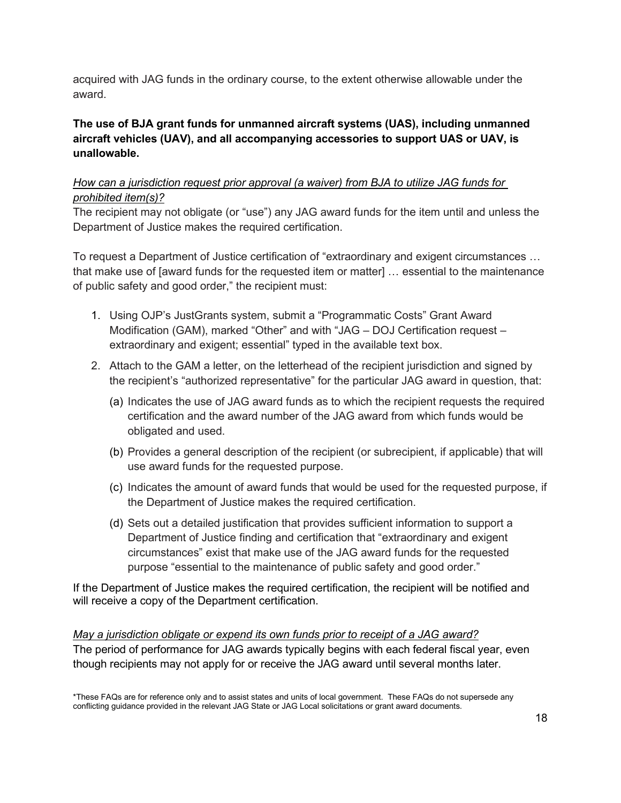acquired with JAG funds in the ordinary course, to the extent otherwise allowable under the award.

**The use of BJA grant funds for unmanned aircraft systems (UAS), including unmanned aircraft vehicles (UAV), and all accompanying accessories to support UAS or UAV, is unallowable.**

#### *How can a jurisdiction request prior approval (a waiver) from BJA to utilize JAG funds for prohibited item(s)?*

The recipient may not obligate (or "use") any JAG award funds for the item until and unless the Department of Justice makes the required certification.

To request a Department of Justice certification of "extraordinary and exigent circumstances … that make use of [award funds for the requested item or matter] … essential to the maintenance of public safety and good order," the recipient must:

- 1. Using OJP's JustGrants system, submit a "Programmatic Costs" Grant Award Modification (GAM), marked "Other" and with "JAG – DOJ Certification request – extraordinary and exigent; essential" typed in the available text box.
- 2. Attach to the GAM a letter, on the letterhead of the recipient jurisdiction and signed by the recipient's "authorized representative" for the particular JAG award in question, that:
	- (a) Indicates the use of JAG award funds as to which the recipient requests the required certification and the award number of the JAG award from which funds would be obligated and used.
	- (b) Provides a general description of the recipient (or subrecipient, if applicable) that will use award funds for the requested purpose.
	- (c) Indicates the amount of award funds that would be used for the requested purpose, if the Department of Justice makes the required certification.
	- (d) Sets out a detailed justification that provides sufficient information to support a Department of Justice finding and certification that "extraordinary and exigent circumstances" exist that make use of the JAG award funds for the requested purpose "essential to the maintenance of public safety and good order."

If the Department of Justice makes the required certification, the recipient will be notified and will receive a copy of the Department certification.

<span id="page-17-0"></span>*May a jurisdiction obligate or expend its own funds prior to receipt of a JAG award?* The period of performance for JAG awards typically begins with each federal fiscal year, even though recipients may not apply for or receive the JAG award until several months later.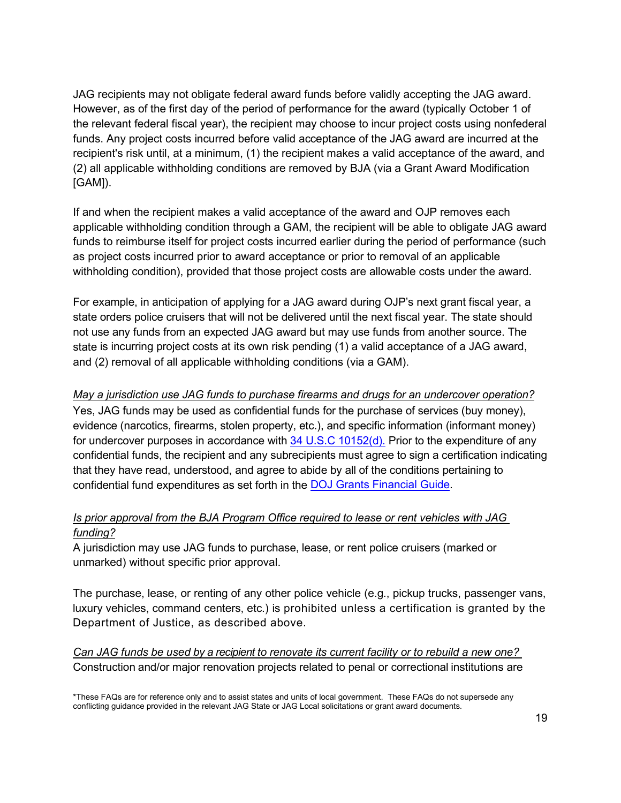JAG recipients may not obligate federal award funds before validly accepting the JAG award. However, as of the first day of the period of performance for the award (typically October 1 of the relevant federal fiscal year), the recipient may choose to incur project costs using nonfederal funds. Any project costs incurred before valid acceptance of the JAG award are incurred at the recipient's risk until, at a minimum, (1) the recipient makes a valid acceptance of the award, and (2) all applicable withholding conditions are removed by BJA (via a Grant Award Modification [GAM]).

If and when the recipient makes a valid acceptance of the award and OJP removes each applicable withholding condition through a GAM, the recipient will be able to obligate JAG award funds to reimburse itself for project costs incurred earlier during the period of performance (such as project costs incurred prior to award acceptance or prior to removal of an applicable withholding condition), provided that those project costs are allowable costs under the award.

For example, in anticipation of applying for a JAG award during OJP's next grant fiscal year, a state orders police cruisers that will not be delivered until the next fiscal year. The state should not use any funds from an expected JAG award but may use funds from another source. The state is incurring project costs at its own risk pending (1) a valid acceptance of a JAG award, and (2) removal of all applicable withholding conditions (via a GAM).

#### <span id="page-18-2"></span>*May a jurisdiction use JAG funds to purchase firearms and drugs for an undercover operation?*

Yes, JAG funds may be used as confidential funds for the purchase of services (buy money), evidence (narcotics, firearms, stolen property, etc.), and specific information (informant money) for undercover purposes in accordance with  $34$  U.S.C 10152(d). Prior to the expenditure of any confidential funds, the recipient and any subrecipients must agree to sign a certification indicating that they have read, understood, and agree to abide by all of the conditions pertaining to confidential fund expenditures as set forth in the [DOJ Grants Financial Guide.](https://www.ojp.gov/funding/financialguidedoj/overview)

#### <span id="page-18-0"></span>*Is prior approval from the BJA Program Office required to lease or rent vehicles with JAG funding?*

A jurisdiction may use JAG funds to purchase, lease, or rent police cruisers (marked or unmarked) without specific prior approval.

The purchase, lease, or renting of any other police vehicle (e.g., pickup trucks, passenger vans, luxury vehicles, command centers, etc.) is prohibited unless a certification is granted by the Department of Justice, as described above.

<span id="page-18-1"></span>*Can JAG funds be used by a recipient to renovate its current facility or to rebuild a new one?* Construction and/or major renovation projects related to penal or correctional institutions are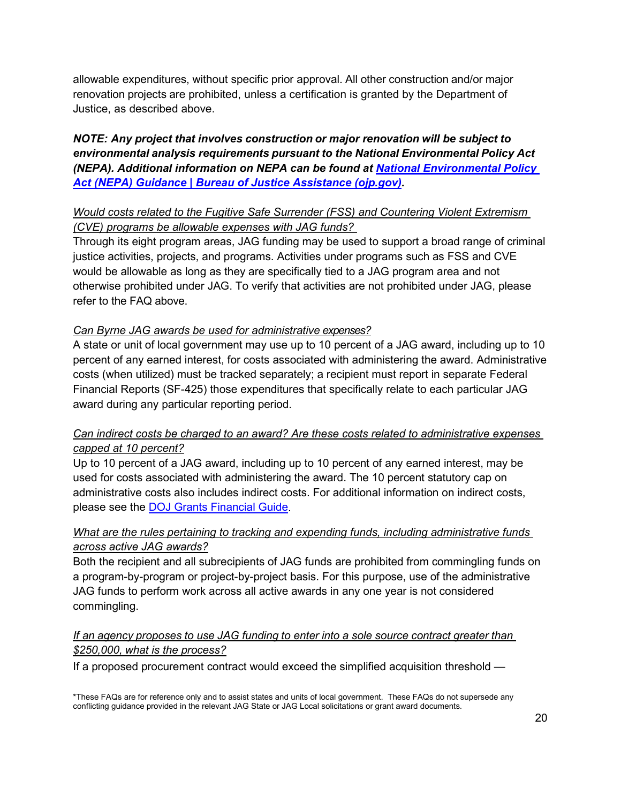allowable expenditures, without specific prior approval. All other construction and/or major renovation projects are prohibited, unless a certification is granted by the Department of Justice, as described above.

*NOTE: Any project that involves construction or major renovation will be subject to environmental analysis requirements pursuant to the National Environmental Policy Act (NEPA). Additional information on NEPA can be found at [National Environmental Policy](https://bja.ojp.gov/national-environmental-policy-act-nepa-guidance)  [Act \(NEPA\) Guidance | Bureau of Justice Assistance \(ojp.gov\).](https://bja.ojp.gov/national-environmental-policy-act-nepa-guidance)*

# <span id="page-19-0"></span>*Would costs related to the Fugitive Safe Surrender (FSS) and Countering Violent Extremism (CVE) programs be allowable expenses with JAG funds?*

Through its eight program areas, JAG funding may be used to support a broad range of criminal justice activities, projects, and programs. Activities under programs such as FSS and CVE would be allowable as long as they are specifically tied to a JAG program area and not otherwise prohibited under JAG. To verify that activities are not prohibited under JAG, please refer to the FAQ above.

#### <span id="page-19-1"></span>*Can Byrne JAG awards be used for administrative expenses?*

A state or unit of local government may use up to 10 percent of a JAG award, including up to 10 percent of any earned interest, for costs associated with administering the award. Administrative costs (when utilized) must be tracked separately; a recipient must report in separate Federal Financial Reports (SF-425) those expenditures that specifically relate to each particular JAG award during any particular reporting period.

# *Can indirect costs be charged to an award? Are these costs related to administrative expenses capped at 10 percent?*

Up to 10 percent of a JAG award, including up to 10 percent of any earned interest, may be used for costs associated with administering the award. The 10 percent statutory cap on administrative costs also includes indirect costs. For additional information on indirect costs, please see the [DOJ Grants Financial Guide.](https://www.ojp.gov/funding/financialguidedoj/overview)

# *What are the rules pertaining to tracking and expending funds, including administrative funds across active JAG awards?*

Both the recipient and all subrecipients of JAG funds are prohibited from commingling funds on a program-by-program or project-by-project basis. For this purpose, use of the administrative JAG funds to perform work across all active awards in any one year is not considered commingling.

#### <span id="page-19-2"></span>*If an agency proposes to use JAG funding to enter into a sole source contract greater than \$250,000, what is the process?*

If a proposed procurement contract would exceed the simplified acquisition threshold —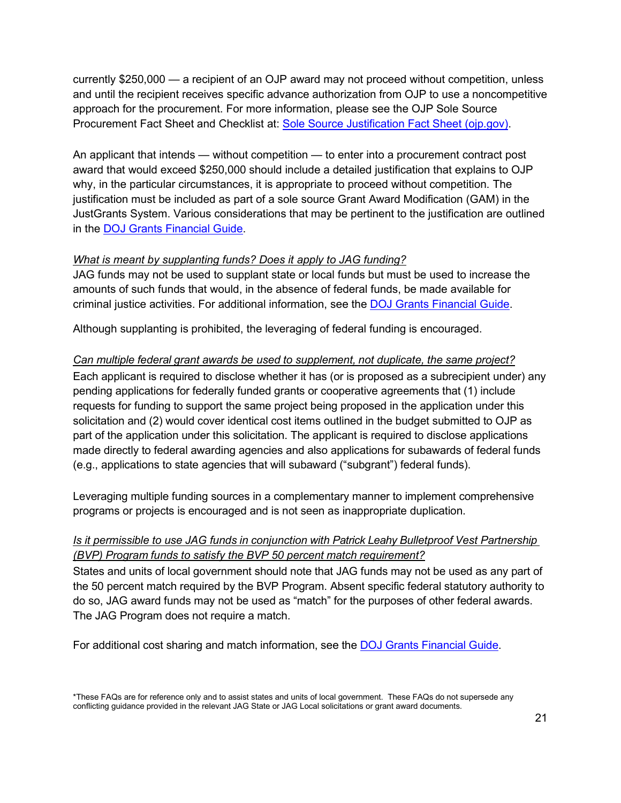currently \$250,000 — a recipient of an OJP award may not proceed without competition, unless and until the recipient receives specific advance authorization from OJP to use a noncompetitive approach for the procurement. For more information, please see the OJP Sole Source Procurement Fact Sheet and Checklist at: [Sole Source Justification Fact Sheet \(ojp.gov\).](https://www.ojp.gov/sites/g/files/xyckuh241/files/media/document/Sole-Source-FactSheet-C.pdf)

An applicant that intends — without competition — to enter into a procurement contract post award that would exceed \$250,000 should include a detailed justification that explains to OJP why, in the particular circumstances, it is appropriate to proceed without competition. The justification must be included as part of a sole source Grant Award Modification (GAM) in the JustGrants System. Various considerations that may be pertinent to the justification are outlined in the [DOJ Grants Financial Guide.](https://www.ojp.gov/funding/financialguidedoj/overview)

#### <span id="page-20-0"></span>*What is meant by supplanting funds? Does it apply to JAG funding?*

JAG funds may not be used to supplant state or local funds but must be used to increase the amounts of such funds that would, in the absence of federal funds, be made available for criminal justice activities. For additional information, see the [DOJ Grants Financial Guide.](https://www.ojp.gov/funding/financialguidedoj/overview)

Although supplanting is prohibited, the leveraging of federal funding is encouraged.

# *Can multiple federal grant awards be used to supplement, not duplicate, the same project?*

Each applicant is required to disclose whether it has (or is proposed as a subrecipient under) any pending applications for federally funded grants or cooperative agreements that (1) include requests for funding to support the same project being proposed in the application under this solicitation and (2) would cover identical cost items outlined in the budget submitted to OJP as part of the application under this solicitation. The applicant is required to disclose applications made directly to federal awarding agencies and also applications for subawards of federal funds (e.g., applications to state agencies that will subaward ("subgrant") federal funds).

Leveraging multiple funding sources in a complementary manner to implement comprehensive programs or projects is encouraged and is not seen as inappropriate duplication.

# *Is it permissible to use JAG funds in conjunction with Patrick Leahy Bulletproof Vest Partnership (BVP) Program funds to satisfy the BVP 50 percent match requirement?*

States and units of local government should note that JAG funds may not be used as any part of the 50 percent match required by the BVP Program. Absent specific federal statutory authority to do so, JAG award funds may not be used as "match" for the purposes of other federal awards. The JAG Program does not require a match.

For additional cost sharing and match information, see the [DOJ Grants Financial Guide.](https://www.ojp.gov/funding/financialguidedoj/overview)

<sup>\*</sup>These FAQs are for reference only and to assist states and units of local government. These FAQs do not supersede any conflicting guidance provided in the relevant JAG State or JAG Local solicitations or grant award documents.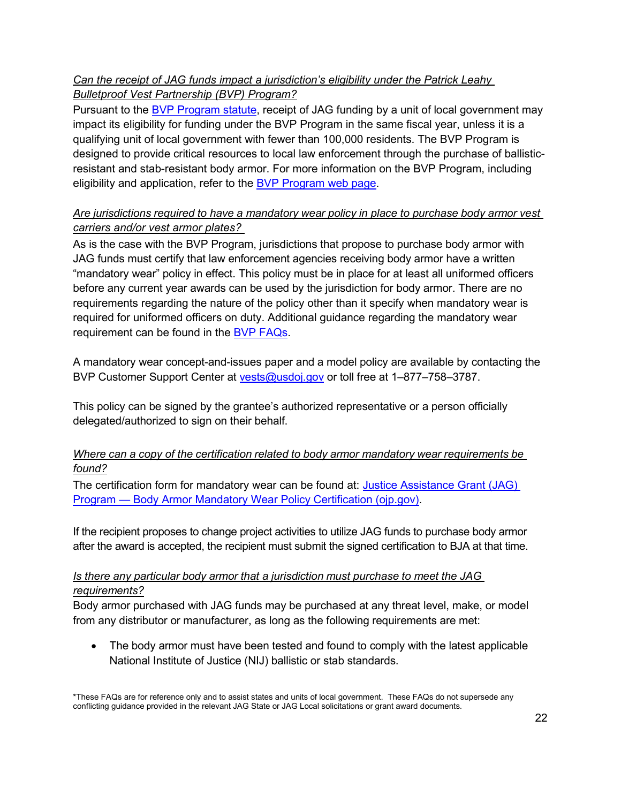# <span id="page-21-0"></span>*Can the receipt of JAG funds impact a jurisdiction's eligibility under the Patrick Leahy Bulletproof Vest Partnership (BVP) Program?*

Pursuant to the [BVP Program statute,](https://uscode.house.gov/view.xhtml?path=/prelim@title34/subtitle1/chapter101/subchapter24&edition=prelim) receipt of JAG funding by a unit of local government may impact its eligibility for funding under the BVP Program in the same fiscal year, unless it is a qualifying unit of local government with fewer than 100,000 residents. The BVP Program is designed to provide critical resources to local law enforcement through the purchase of ballisticresistant and stab-resistant body armor. For more information on the BVP Program, including eligibility and application, refer to the [BVP Program web page.](https://bja.ojp.gov/program/patrick-leahy-bulletproof-vest-partnership-bvp-program/overview?Program_ID=82)

# *Are jurisdictions required to have a mandatory wear policy in place to purchase body armor vest carriers and/or vest armor plates?*

As is the case with the BVP Program, jurisdictions that propose to purchase body armor with JAG funds must certify that law enforcement agencies receiving body armor have a written "mandatory wear" policy in effect. This policy must be in place for at least all uniformed officers before any current year awards can be used by the jurisdiction for body armor. There are no requirements regarding the nature of the policy other than it specify when mandatory wear is required for uniformed officers on duty. Additional guidance regarding the mandatory wear requirement can be found in the [BVP FAQs.](https://www.ojp.gov/sites/g/files/xyckuh241/files/media/document/FAQsBVPMandatoryWearPolicy_0.pdf)

A mandatory wear concept-and-issues paper and a model policy are available by contacting the BVP Customer Support Center at [vests@usdoj.gov](mailto:vests@usdoj.gov) or toll free at 1–877–758–3787.

This policy can be signed by the grantee's authorized representative or a person officially delegated/authorized to sign on their behalf.

# *Where can a copy of the certification related to body armor mandatory wear requirements be found?*

The certification form for mandatory wear can be found at: Justice Assistance Grant (JAG) Program — [Body Armor Mandatory Wear Policy Certification \(ojp.gov\).](https://bja.ojp.gov/sites/g/files/xyckuh186/files/media/document/BodyArmorMandatoryWearCert.pdf)

If the recipient proposes to change project activities to utilize JAG funds to purchase body armor after the award is accepted, the recipient must submit the signed certification to BJA at that time.

#### *Is there any particular body armor that a jurisdiction must purchase to meet the JAG requirements?*

Body armor purchased with JAG funds may be purchased at any threat level, make, or model from any distributor or manufacturer, as long as the following requirements are met:

• The body armor must have been tested and found to comply with the latest applicable National Institute of Justice (NIJ) ballistic or stab standards.

<sup>\*</sup>These FAQs are for reference only and to assist states and units of local government. These FAQs do not supersede any conflicting guidance provided in the relevant JAG State or JAG Local solicitations or grant award documents.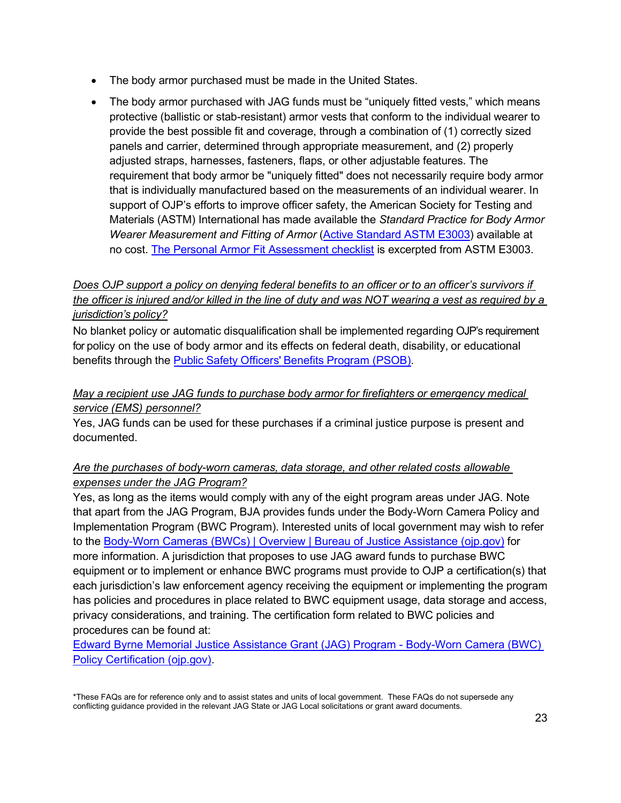- The body armor purchased must be made in the United States.
- The body armor purchased with JAG funds must be "uniquely fitted vests," which means protective (ballistic or stab-resistant) armor vests that conform to the individual wearer to provide the best possible fit and coverage, through a combination of (1) correctly sized panels and carrier, determined through appropriate measurement, and (2) properly adjusted straps, harnesses, fasteners, flaps, or other adjustable features. The requirement that body armor be "uniquely fitted" does not necessarily require body armor that is individually manufactured based on the measurements of an individual wearer. In support of OJP's efforts to improve officer safety, the American Society for Testing and Materials (ASTM) International has made available the *Standard Practice for Body Armor Wearer Measurement and Fitting of Armor* [\(Active Standard ASTM](https://www.policearmor.org/basics/selection-fit.html) E3003) available at no cost. [The Personal Armor Fit Assessment checklist](https://www.ojp.gov/pdffiles1/nij/nlectc/250267.pdf) is excerpted from ASTM E3003.

# *Does OJP support a policy on denying federal benefits to an officer or to an officer's survivors if the officer is injured and/or killed in the line of duty and was NOT wearing a vest as required by a jurisdiction's policy?*

No blanket policy or automatic disqualification shall be implemented regarding OJP's requirement for policy on the use of body armor and its effects on federal death, disability, or educational benefits through the **Public Safety Officers' Benefits Program (PSOB)**.

### *May a recipient use JAG funds to purchase body armor for firefighters or emergency medical service (EMS) personnel?*

Yes, JAG funds can be used for these purchases if a criminal justice purpose is present and documented.

# <span id="page-22-0"></span>*Are the purchases of body-worn cameras, data storage, and other related costs allowable expenses under the JAG Program?*

Yes, as long as the items would comply with any of the eight program areas under JAG. Note that apart from the JAG Program, BJA provides funds under the Body-Worn Camera Policy and Implementation Program (BWC Program). Interested units of local government may wish to refer to the [Body-Worn Cameras \(BWCs\) | Overview | Bureau of Justice Assistance \(ojp.gov\)](https://bja.ojp.gov/program/body-worn-cameras-bwcs/overview?Program_ID=115) for more information. A jurisdiction that proposes to use JAG award funds to purchase BWC equipment or to implement or enhance BWC programs must provide to OJP a certification(s) that each jurisdiction's law enforcement agency receiving the equipment or implementing the program has policies and procedures in place related to BWC equipment usage, data storage and access, privacy considerations, and training. The certification form related to BWC policies and procedures can be found at:

[Edward Byrne Memorial Justice Assistance Grant \(JAG\) Program -](https://bja.ojp.gov/sites/g/files/xyckuh186/files/media/document/BodyWornCameraCert.pdf) Body-Worn Camera (BWC) [Policy Certification \(ojp.gov\).](https://bja.ojp.gov/sites/g/files/xyckuh186/files/media/document/BodyWornCameraCert.pdf)

<sup>\*</sup>These FAQs are for reference only and to assist states and units of local government. These FAQs do not supersede any conflicting guidance provided in the relevant JAG State or JAG Local solicitations or grant award documents.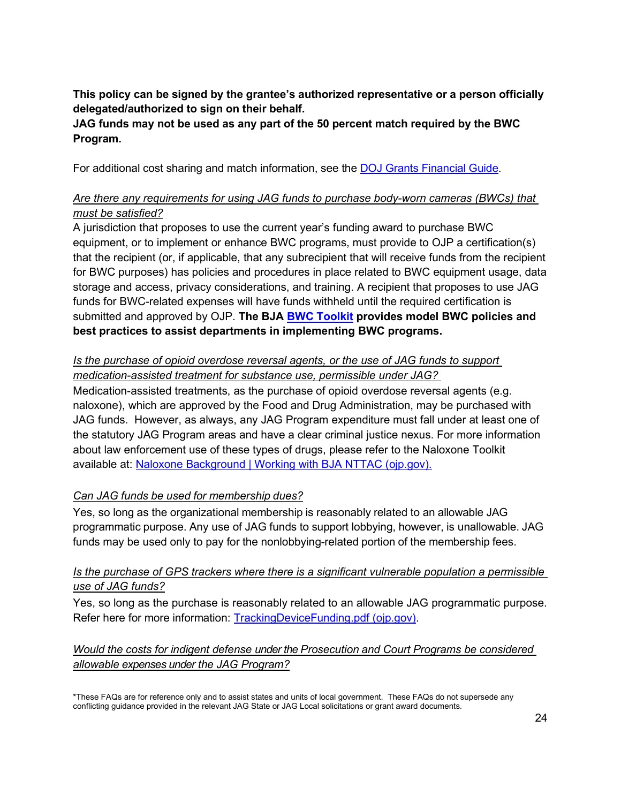**This policy can be signed by the grantee's authorized representative or a person officially delegated/authorized to sign on their behalf.**

# **JAG funds may not be used as any part of the 50 percent match required by the BWC Program.**

For additional cost sharing and match information, see the [DOJ Grants Financial Guide.](https://www.ojp.gov/funding/financialguidedoj/overview)

# *Are there any requirements for using JAG funds to purchase body-worn cameras (BWCs) that must be satisfied?*

A jurisdiction that proposes to use the current year's funding award to purchase BWC equipment, or to implement or enhance BWC programs, must provide to OJP a certification(s) that the recipient (or, if applicable, that any subrecipient that will receive funds from the recipient for BWC purposes) has policies and procedures in place related to BWC equipment usage, data storage and access, privacy considerations, and training. A recipient that proposes to use JAG funds for BWC-related expenses will have funds withheld until the required certification is submitted and approved by OJP. **The BJA [BWC Toolkit](https://bja.ojp.gov/program/bwc#gcov4e) provides model BWC policies and best practices to assist departments in implementing BWC programs.**

# <span id="page-23-0"></span>*Is the purchase of opioid overdose reversal agents, or the use of JAG funds to support medication-assisted treatment for substance use, permissible under JAG?*

Medication-assisted treatments, as the purchase of opioid overdose reversal agents (e.g. naloxone), which are approved by the Food and Drug Administration, may be purchased with JAG funds. However, as always, any JAG Program expenditure must fall under at least one of the statutory JAG Program areas and have a clear criminal justice nexus. For more information about law enforcement use of these types of drugs, please refer to the Naloxone Toolkit available at: [Naloxone Background | Working with BJA NTTAC \(ojp.gov\).](https://bjatta.bja.ojp.gov/tools/naloxone/Naloxone-Background)

# <span id="page-23-1"></span>*Can JAG funds be used for membership dues?*

Yes, so long as the organizational membership is reasonably related to an allowable JAG programmatic purpose. Any use of JAG funds to support lobbying, however, is unallowable. JAG funds may be used only to pay for the nonlobbying-related portion of the membership fees.

# <span id="page-23-2"></span>*Is the purchase of GPS trackers where there is a significant vulnerable population a permissible use of JAG funds?*

Yes, so long as the purchase is reasonably related to an allowable JAG programmatic purpose. Refer here for more information: [TrackingDeviceFunding.pdf \(ojp.gov\).](https://bja.ojp.gov/sites/g/files/xyckuh186/files/media/document/TrackingDeviceFunding.pdf)

# <span id="page-23-3"></span>*Would the costs for indigent defense under the Prosecution and Court Programs be considered allowable expenses under the JAG Program?*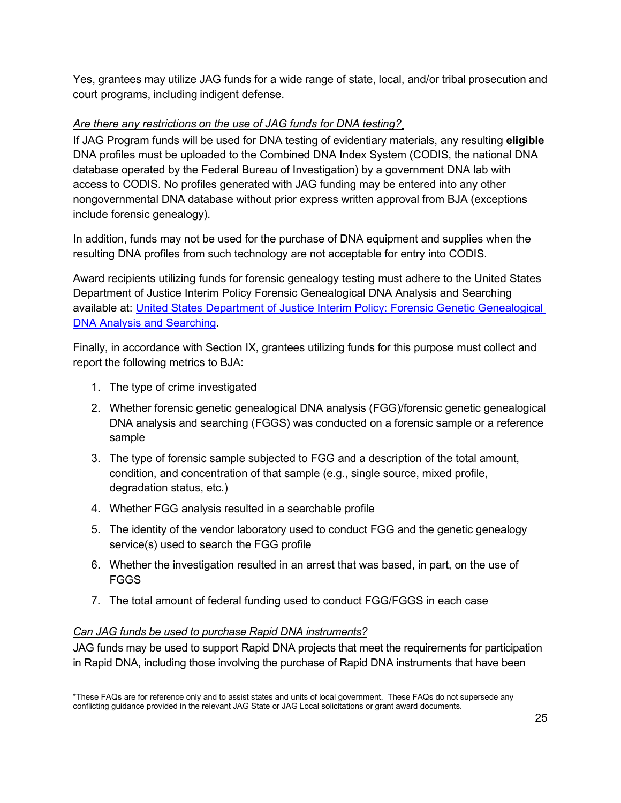Yes, grantees may utilize JAG funds for a wide range of state, local, and/or tribal prosecution and court programs, including indigent defense.

# <span id="page-24-0"></span>*Are there any restrictions on the use of JAG funds for DNA testing?*

If JAG Program funds will be used for DNA testing of evidentiary materials, any resulting **eligible**  DNA profiles must be uploaded to the Combined DNA Index System (CODIS, the national DNA database operated by the Federal Bureau of Investigation) by a government DNA lab with access to CODIS. No profiles generated with JAG funding may be entered into any other nongovernmental DNA database without prior express written approval from BJA (exceptions include forensic genealogy).

In addition, funds may not be used for the purchase of DNA equipment and supplies when the resulting DNA profiles from such technology are not acceptable for entry into CODIS.

Award recipients utilizing funds for forensic genealogy testing must adhere to the United States Department of Justice Interim Policy Forensic Genealogical DNA Analysis and Searching available at: [United States Department of Justice Interim Policy: Forensic Genetic Genealogical](https://www.justice.gov/olp/page/file/1204386/download)  **[DNA Analysis and Searching.](https://www.justice.gov/olp/page/file/1204386/download)** 

Finally, in accordance with Section IX, grantees utilizing funds for this purpose must collect and report the following metrics to BJA:

- 1. The type of crime investigated
- 2. Whether forensic genetic genealogical DNA analysis (FGG)/forensic genetic genealogical DNA analysis and searching (FGGS) was conducted on a forensic sample or a reference sample
- 3. The type of forensic sample subjected to FGG and a description of the total amount, condition, and concentration of that sample (e.g., single source, mixed profile, degradation status, etc.)
- 4. Whether FGG analysis resulted in a searchable profile
- 5. The identity of the vendor laboratory used to conduct FGG and the genetic genealogy service(s) used to search the FGG profile
- 6. Whether the investigation resulted in an arrest that was based, in part, on the use of FGGS
- 7. The total amount of federal funding used to conduct FGG/FGGS in each case

#### <span id="page-24-1"></span>*Can JAG funds be used to purchase Rapid DNA instruments?*

JAG funds may be used to support Rapid DNA projects that meet the requirements for participation in Rapid DNA, including those involving the purchase of Rapid DNA instruments that have been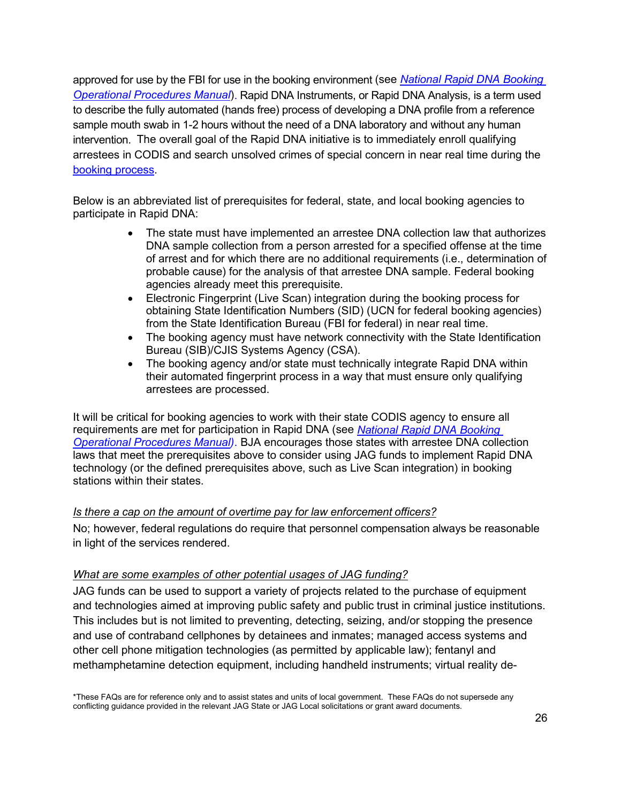approved for use by the FBI for use in the booking environment (see *[National Rapid DNA Booking](https://www.fbi.gov/file-repository/national-rapid-dna-booking-operational-procedures-manual-eff-090120.pdf/view)  [Operational Procedures Manual](https://www.fbi.gov/file-repository/national-rapid-dna-booking-operational-procedures-manual-eff-090120.pdf/view)*). Rapid DNA Instruments, or Rapid DNA Analysis, is a term used to describe the fully automated (hands free) process of developing a DNA profile from a reference sample mouth swab in 1-2 hours without the need of a DNA laboratory and without any human intervention. The overall goal of the Rapid DNA initiative is to immediately enroll qualifying arrestees in CODIS and search unsolved crimes of special concern in near real time during the [booking process.](https://www.fbi.gov/file-repository/codis-rapid-dna-infographic-2019.pdf/view)

Below is an abbreviated list of prerequisites for federal, state, and local booking agencies to participate in Rapid DNA:

- The state must have implemented an arrestee DNA collection law that authorizes DNA sample collection from a person arrested for a specified offense at the time of arrest and for which there are no additional requirements (i.e., determination of probable cause) for the analysis of that arrestee DNA sample. Federal booking agencies already meet this prerequisite.
- Electronic Fingerprint (Live Scan) integration during the booking process for obtaining State Identification Numbers (SID) (UCN for federal booking agencies) from the State Identification Bureau (FBI for federal) in near real time.
- The booking agency must have network connectivity with the State Identification Bureau (SIB)/CJIS Systems Agency (CSA).
- The booking agency and/or state must technically integrate Rapid DNA within their automated fingerprint process in a way that must ensure only qualifying arrestees are processed.

It will be critical for booking agencies to work with their state CODIS agency to ensure all requirements are met for participation in Rapid DNA (see *[National Rapid DNA Booking](https://www.fbi.gov/file-repository/national-rapid-dna-booking-operational-procedures-manual-eff-090120.pdf/view)  [Operational Procedures Manual\)](https://www.fbi.gov/file-repository/national-rapid-dna-booking-operational-procedures-manual-eff-090120.pdf/view)*. BJA encourages those states with arrestee DNA collection laws that meet the prerequisites above to consider using JAG funds to implement Rapid DNA technology (or the defined prerequisites above, such as Live Scan integration) in booking stations within their states.

#### *Is there a cap on the amount of overtime pay for law enforcement officers?*

No; however, federal regulations do require that personnel compensation always be reasonable in light of the services rendered.

#### <span id="page-25-0"></span>*What are some examples of other potential usages of JAG funding?*

JAG funds can be used to support a variety of projects related to the purchase of equipment and technologies aimed at improving public safety and public trust in criminal justice institutions. This includes but is not limited to preventing, detecting, seizing, and/or stopping the presence and use of contraband cellphones by detainees and inmates; managed access systems and other cell phone mitigation technologies (as permitted by applicable law); fentanyl and methamphetamine detection equipment, including handheld instruments; virtual reality de-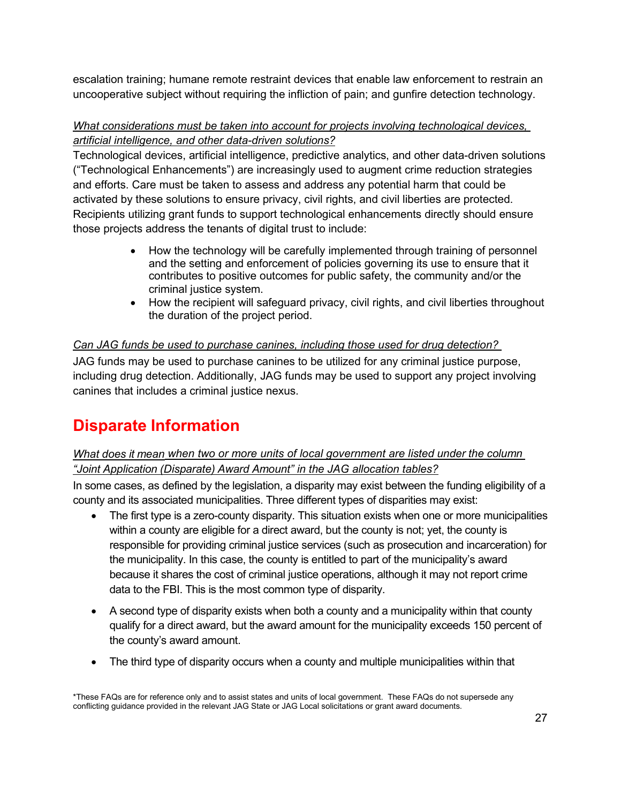escalation training; humane remote restraint devices that enable law enforcement to restrain an uncooperative subject without requiring the infliction of pain; and gunfire detection technology.

# <span id="page-26-0"></span>*What considerations must be taken into account for projects involving technological devices, artificial intelligence, and other data-driven solutions?*

Technological devices, artificial intelligence, predictive analytics, and other data-driven solutions ("Technological Enhancements") are increasingly used to augment crime reduction strategies and efforts. Care must be taken to assess and address any potential harm that could be activated by these solutions to ensure privacy, civil rights, and civil liberties are protected. Recipients utilizing grant funds to support technological enhancements directly should ensure those projects address the tenants of digital trust to include:

- How the technology will be carefully implemented through training of personnel and the setting and enforcement of policies governing its use to ensure that it contributes to positive outcomes for public safety, the community and/or the criminal justice system.
- How the recipient will safeguard privacy, civil rights, and civil liberties throughout the duration of the project period.

# <span id="page-26-1"></span>*Can JAG funds be used to purchase canines, including those used for drug detection?*

JAG funds may be used to purchase canines to be utilized for any criminal justice purpose, including drug detection. Additionally, JAG funds may be used to support any project involving canines that includes a criminal justice nexus.

# **Disparate Information**

# <span id="page-26-2"></span>*What does it mean when two or more units of local government are listed under the column "Joint Application (Disparate) Award Amount" in the JAG allocation tables?*

In some cases, as defined by the legislation, a disparity may exist between the funding eligibility of a county and its associated municipalities. Three different types of disparities may exist:

- The first type is a zero-county disparity. This situation exists when one or more municipalities within a county are eligible for a direct award, but the county is not; yet, the county is responsible for providing criminal justice services (such as prosecution and incarceration) for the municipality. In this case, the county is entitled to part of the municipality's award because it shares the cost of criminal justice operations, although it may not report crime data to the FBI. This is the most common type of disparity.
- A second type of disparity exists when both a county and a municipality within that county qualify for a direct award, but the award amount for the municipality exceeds 150 percent of the county's award amount.
- The third type of disparity occurs when a county and multiple municipalities within that

<sup>\*</sup>These FAQs are for reference only and to assist states and units of local government. These FAQs do not supersede any conflicting guidance provided in the relevant JAG State or JAG Local solicitations or grant award documents.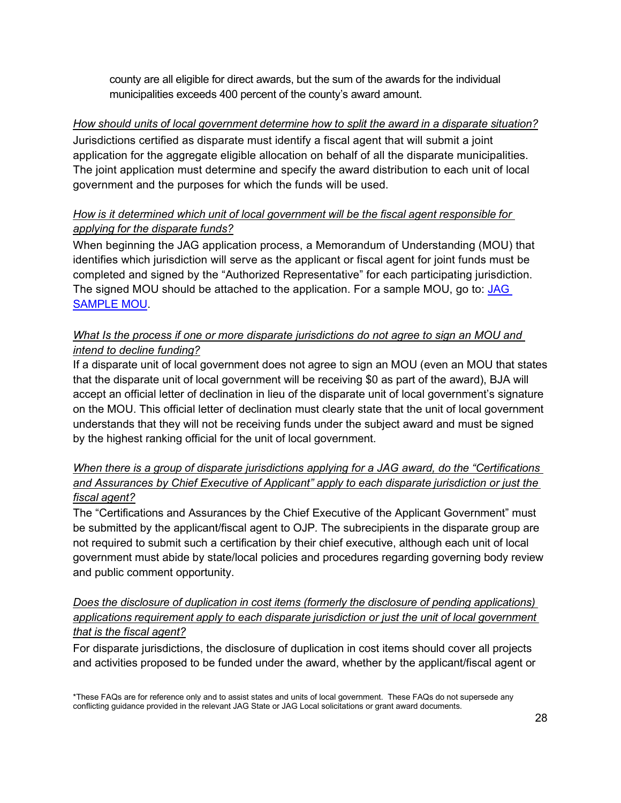county are all eligible for direct awards, but the sum of the awards for the individual municipalities exceeds 400 percent of the county's award amount.

# *How should units of local government determine how to split the award in a disparate situation?*

Jurisdictions certified as disparate must identify a fiscal agent that will submit a joint application for the aggregate eligible allocation on behalf of all the disparate municipalities. The joint application must determine and specify the award distribution to each unit of local government and the purposes for which the funds will be used.

# <span id="page-27-0"></span>*How is it determined which unit of local government will be the fiscal agent responsible for applying for the disparate funds?*

When beginning the JAG application process, a Memorandum of Understanding (MOU) that identifies which jurisdiction will serve as the applicant or fiscal agent for joint funds must be completed and signed by the "Authorized Representative" for each participating jurisdiction. The signed MOU should be attached to the application. For a sample MOU, go to: JAG [SAMPLE MOU.](https://bja.ojp.gov/sites/g/files/xyckuh186/files/media/document/JAGMOU.pdf)

# *What Is the process if one or more disparate jurisdictions do not agree to sign an MOU and intend to decline funding?*

If a disparate unit of local government does not agree to sign an MOU (even an MOU that states that the disparate unit of local government will be receiving \$0 as part of the award), BJA will accept an official letter of declination in lieu of the disparate unit of local government's signature on the MOU. This official letter of declination must clearly state that the unit of local government understands that they will not be receiving funds under the subject award and must be signed by the highest ranking official for the unit of local government.

# <span id="page-27-1"></span>*When there is a group of disparate jurisdictions applying for a JAG award, do the "Certifications and Assurances by Chief Executive of Applicant" apply to each disparate jurisdiction or just the fiscal agent?*

The "Certifications and Assurances by the Chief Executive of the Applicant Government" must be submitted by the applicant/fiscal agent to OJP*.* The subrecipients in the disparate group are not required to submit such a certification by their chief executive, although each unit of local government must abide by state/local policies and procedures regarding governing body review and public comment opportunity.

# <span id="page-27-2"></span>*Does the disclosure of duplication in cost items (formerly the disclosure of pending applications) applications requirement apply to each disparate jurisdiction or just the unit of local government that is the fiscal agent?*

For disparate jurisdictions, the disclosure of duplication in cost items should cover all projects and activities proposed to be funded under the award, whether by the applicant/fiscal agent or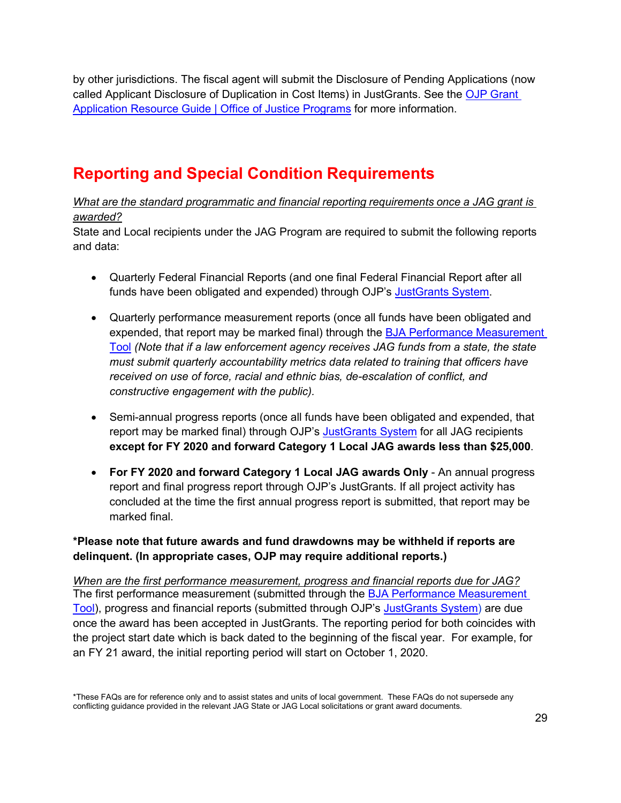by other jurisdictions. The fiscal agent will submit the Disclosure of Pending Applications (now called Applicant Disclosure of Duplication in Cost Items) in JustGrants. See the OJP Grant [Application Resource Guide | Office of Justice Programs](https://www.ojp.gov/funding/apply/ojp-grant-application-resource-guide#applicant-disclosure-pending-applications) for more information.

# **Reporting and Special Condition Requirements**

<span id="page-28-0"></span>*What are the standard programmatic and financial reporting requirements once a JAG grant is awarded?*

State and Local recipients under the JAG Program are required to submit the following reports and data:

- Quarterly Federal Financial Reports (and one final Federal Financial Report after all funds have been obligated and expended) through OJP's [JustGrants System.](https://justicegrants.usdoj.gov/)
- Quarterly performance measurement reports (once all funds have been obligated and expended, that report may be marked final) through the **BJA Performance Measurement** [Tool](https://bjapmt.ojp.gov/help/jagdocs.html) *(Note that if a law enforcement agency receives JAG funds from a state, the state must submit quarterly accountability metrics data related to training that officers have received on use of force, racial and ethnic bias, de-escalation of conflict, and constructive engagement with the public).*
- Semi-annual progress reports (once all funds have been obligated and expended, that report may be marked final) through OJP's [JustGrants System](https://justicegrants.usdoj.gov/) for all JAG recipients **except for FY 2020 and forward Category 1 Local JAG awards less than \$25,000**.
- **For FY 2020 and forward Category 1 Local JAG awards Only** An annual progress report and final progress report through OJP's JustGrants. If all project activity has concluded at the time the first annual progress report is submitted, that report may be marked final.

# **\*Please note that future awards and fund drawdowns may be withheld if reports are delinquent. (In appropriate cases, OJP may require additional reports.)**

*When are the first performance measurement, progress and financial reports due for JAG?* The first performance measurement (submitted through the [BJA Performance Measurement](https://bjapmt.ojp.gov/help/jagdocs.html)  [Tool\)](https://bjapmt.ojp.gov/help/jagdocs.html), progress and financial reports (submitted through OJP's [JustGrants System\)](https://justicegrants.usdoj.gov/) are due once the award has been accepted in JustGrants. The reporting period for both coincides with the project start date which is back dated to the beginning of the fiscal year. For example, for an FY 21 award, the initial reporting period will start on October 1, 2020.

<sup>\*</sup>These FAQs are for reference only and to assist states and units of local government. These FAQs do not supersede any conflicting guidance provided in the relevant JAG State or JAG Local solicitations or grant award documents.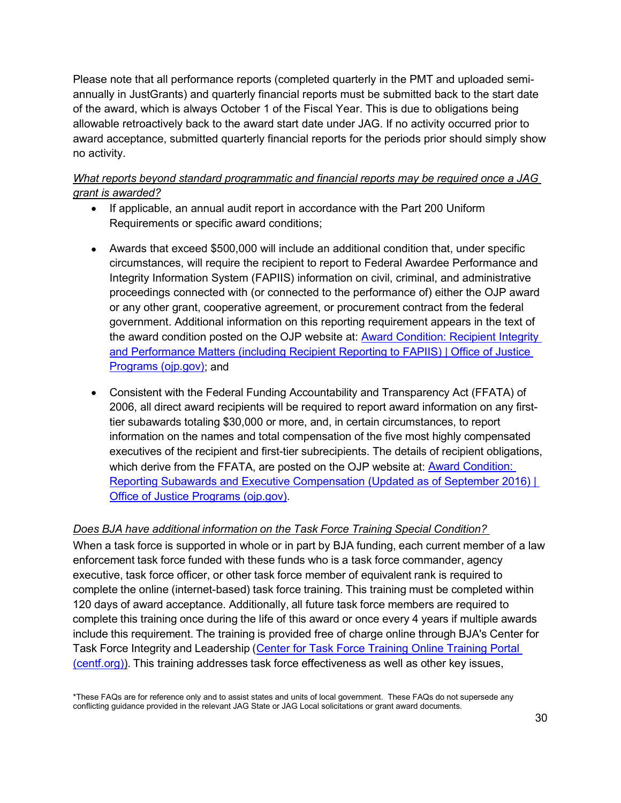Please note that all performance reports (completed quarterly in the PMT and uploaded semiannually in JustGrants) and quarterly financial reports must be submitted back to the start date of the award, which is always October 1 of the Fiscal Year. This is due to obligations being allowable retroactively back to the award start date under JAG. If no activity occurred prior to award acceptance, submitted quarterly financial reports for the periods prior should simply show no activity.

# *What reports beyond standard programmatic and financial reports may be required once a JAG grant is awarded?*

- If applicable, an annual audit report in accordance with the Part 200 Uniform Requirements or specific award conditions;
- Awards that exceed \$500,000 will include an additional condition that, under specific circumstances, will require the recipient to report to Federal Awardee Performance and Integrity Information System (FAPIIS) information on civil, criminal, and administrative proceedings connected with (or connected to the performance of) either the OJP award or any other grant, cooperative agreement, or procurement contract from the federal government. Additional information on this reporting requirement appears in the text of the award condition posted on the OJP website at: [Award Condition: Recipient Integrity](https://www.ojp.gov/funding/fapiis)  [and Performance Matters \(including Recipient Reporting to FAPIIS\) | Office of Justice](https://www.ojp.gov/funding/fapiis)  [Programs \(ojp.gov\);](https://www.ojp.gov/funding/fapiis) and
- Consistent with the Federal Funding Accountability and Transparency Act (FFATA) of 2006, all direct award recipients will be required to report award information on any firsttier subawards totaling \$30,000 or more, and, in certain circumstances, to report information on the names and total compensation of the five most highly compensated executives of the recipient and first-tier subrecipients. The details of recipient obligations, which derive from the FFATA, are posted on the OJP website at: **Award Condition:** [Reporting Subawards and Executive Compensation \(Updated as of September 2016\) |](https://www.ojp.gov/funding/explore/ffata)  [Office of Justice Programs \(ojp.gov\).](https://www.ojp.gov/funding/explore/ffata)

# <span id="page-29-0"></span>*Does BJA have additional information on the Task Force Training Special Condition?*

When a task force is supported in whole or in part by BJA funding, each current member of a law enforcement task force funded with these funds who is a task force commander, agency executive, task force officer, or other task force member of equivalent rank is required to complete the online (internet-based) task force training. This training must be completed within 120 days of award acceptance. Additionally, all future task force members are required to complete this training once during the life of this award or once every 4 years if multiple awards include this requirement. The training is provided free of charge online through BJA's Center for Task Force Integrity and Leadership (Center for Task Force Training Online Training Portal [\(centf.org\)\)](https://www.centf.org/CTFLI/). This training addresses task force effectiveness as well as other key issues,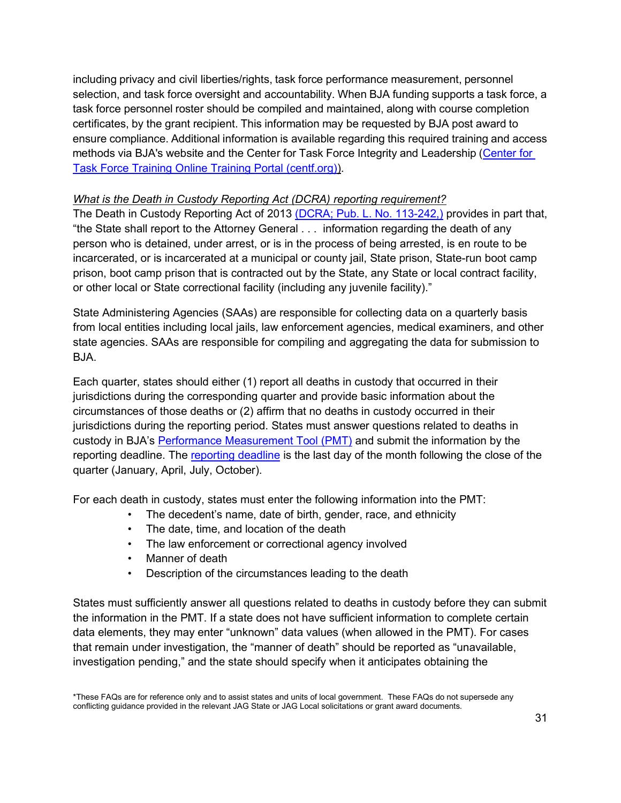including privacy and civil liberties/rights, task force performance measurement, personnel selection, and task force oversight and accountability. When BJA funding supports a task force, a task force personnel roster should be compiled and maintained, along with course completion certificates, by the grant recipient. This information may be requested by BJA post award to ensure compliance. Additional information is available regarding this required training and access methods via BJA's website and the Center for Task Force Integrity and Leadership [\(Center for](https://www.centf.org/CTFLI/)  [Task Force Training Online Training Portal \(centf.org\)\)](https://www.centf.org/CTFLI/).

#### <span id="page-30-0"></span>*What is the Death in Custody Reporting Act (DCRA) reporting requirement?*

The Death in Custody Reporting Act of 2013 [\(DCRA; Pub. L. No. 113-242,\)](https://uscode.house.gov/statviewer.htm?volume=128&page=2860) provides in part that, "the State shall report to the Attorney General . . . information regarding the death of any person who is detained, under arrest, or is in the process of being arrested, is en route to be incarcerated, or is incarcerated at a municipal or county jail, State prison, State-run boot camp prison, boot camp prison that is contracted out by the State, any State or local contract facility, or other local or State correctional facility (including any juvenile facility)."

State Administering Agencies (SAAs) are responsible for collecting data on a quarterly basis from local entities including local jails, law enforcement agencies, medical examiners, and other state agencies. SAAs are responsible for compiling and aggregating the data for submission to BJA.

Each quarter, states should either (1) report all deaths in custody that occurred in their jurisdictions during the corresponding quarter and provide basic information about the circumstances of those deaths or (2) affirm that no deaths in custody occurred in their jurisdictions during the reporting period. States must answer questions related to deaths in custody in BJA's [Performance Measurement Tool \(PMT\)](https://bja.ojp.gov/sites/g/files/xyckuh186/files/media/document/DCRA-Performance-Measure-Questionnaire_508.pdf) and submit the information by the reporting deadline. The [reporting deadline](https://bja.ojp.gov/sites/g/files/xyckuh186/files/media/document/grantee-data-entry-resource-guide.pdf) is the last day of the month following the close of the quarter (January, April, July, October).

For each death in custody, states must enter the following information into the PMT:

- The decedent's name, date of birth, gender, race, and ethnicity
- The date, time, and location of the death
- The law enforcement or correctional agency involved
- Manner of death
- Description of the circumstances leading to the death

States must sufficiently answer all questions related to deaths in custody before they can submit the information in the PMT. If a state does not have sufficient information to complete certain data elements, they may enter "unknown" data values (when allowed in the PMT). For cases that remain under investigation, the "manner of death" should be reported as "unavailable, investigation pending," and the state should specify when it anticipates obtaining the

<sup>\*</sup>These FAQs are for reference only and to assist states and units of local government. These FAQs do not supersede any conflicting guidance provided in the relevant JAG State or JAG Local solicitations or grant award documents.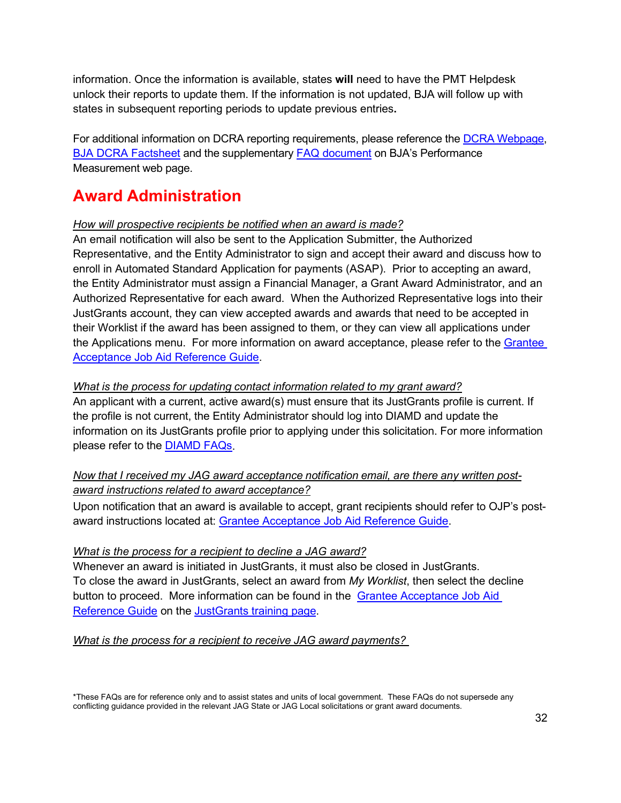information. Once the information is available, states **will** need to have the PMT Helpdesk unlock their reports to update them. If the information is not updated, BJA will follow up with states in subsequent reporting periods to update previous entries**.**

For additional information on DCRA reporting requirements, please reference the [DCRA Webpage,](https://bja.ojp.gov/program/dcra/overview) [BJA DCRA Factsheet](https://bja.ojp.gov/sites/g/files/xyckuh186/files/media/document/DCRA-Factsheet.pdf) and the supplementary [FAQ document](https://bja.ojp.gov/sites/g/files/xyckuh186/files/media/document/DCRA-FAQ_508.pdf) on BJA's Performance Measurement web page.

# **Award Administration**

#### <span id="page-31-0"></span>*How will prospective recipients be notified when an award is made?*

An email notification will also be sent to the Application Submitter, the Authorized Representative, and the Entity Administrator to sign and accept their award and discuss how to enroll in Automated Standard Application for payments (ASAP). Prior to accepting an award, the Entity Administrator must assign a Financial Manager, a Grant Award Administrator, and an Authorized Representative for each award. When the Authorized Representative logs into their JustGrants account, they can view accepted awards and awards that need to be accepted in their Worklist if the award has been assigned to them, or they can view all applications under the Applications menu. For more information on award acceptance, please refer to the [Grantee](https://justicegrants.usdoj.gov/sites/g/files/xyckuh296/files/media/document/jarg-grantee-accept.pdf)  [Acceptance Job Aid Reference Guide.](https://justicegrants.usdoj.gov/sites/g/files/xyckuh296/files/media/document/jarg-grantee-accept.pdf)

#### <span id="page-31-1"></span>*What is the process for updating contact information related to my grant award?*

An applicant with a current, active award(s) must ensure that its JustGrants profile is current. If the profile is not current, the Entity Administrator should log into DIAMD and update the information on its JustGrants profile prior to applying under this solicitation. For more information please refer to the [DIAMD FAQs.](https://justicegrants.usdoj.gov/sites/g/files/xyckuh296/files/media/document/diamd-faqs.pdf)

#### <span id="page-31-2"></span>*Now that I received my JAG award acceptance notification email, are there any written postaward instructions related to award acceptance?*

Upon notification that an award is available to accept, grant recipients should refer to OJP's postaward instructions located at: [Grantee Acceptance Job Aid Reference Guide.](https://justicegrants.usdoj.gov/sites/g/files/xyckuh296/files/media/document/jarg-grantee-accept.pdf)

#### *What is the process for a recipient to decline a JAG award?*

Whenever an award is initiated in JustGrants, it must also be closed in JustGrants. To close the award in JustGrants, select an award from *My Worklist*, then select the decline button to proceed. More information can be found in the [Grantee Acceptance Job Aid](https://justicegrants.usdoj.gov/sites/g/files/xyckuh296/files/media/document/jarg-grantee-accept.pdf)  [Reference Guide](https://justicegrants.usdoj.gov/sites/g/files/xyckuh296/files/media/document/jarg-grantee-accept.pdf) on the [JustGrants training page.](https://justicegrants.usdoj.gov/training)

<span id="page-31-3"></span>*What is the process for a recipient to receive JAG award payments?*

<sup>\*</sup>These FAQs are for reference only and to assist states and units of local government. These FAQs do not supersede any conflicting guidance provided in the relevant JAG State or JAG Local solicitations or grant award documents.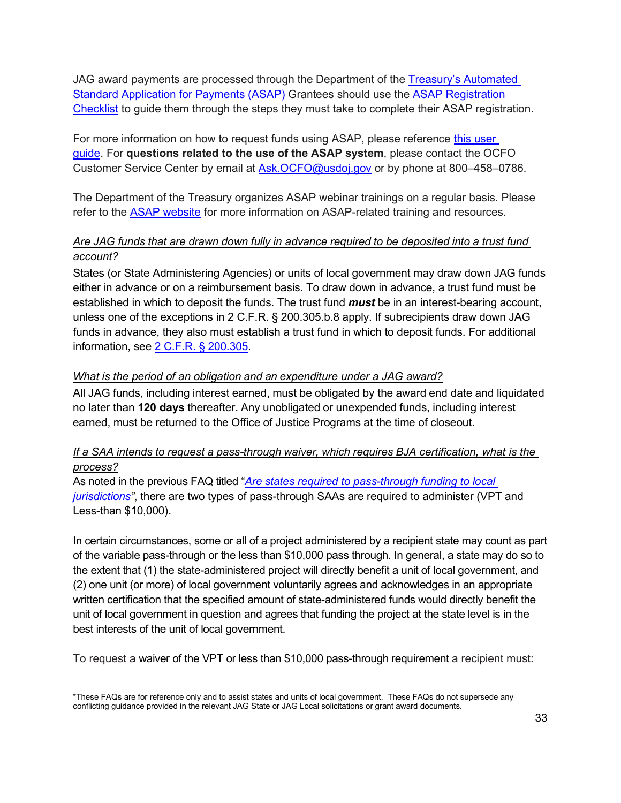JAG award payments are processed through the Department of the [Treasury's Automated](https://fiscal.treasury.gov/asap/)  Standard Application [for Payments \(ASAP\)](https://fiscal.treasury.gov/asap/) Grantees should use the [ASAP Registration](https://justicegrants.usdoj.gov/sites/g/files/xyckuh296/files/media/document/ASAP_Registration_Checklist.pdf)  [Checklist](https://justicegrants.usdoj.gov/sites/g/files/xyckuh296/files/media/document/ASAP_Registration_Checklist.pdf) to guide them through the steps they must take to complete their ASAP registration.

For more information on how to request funds using ASAP, please reference [this user](https://justicegrants.usdoj.gov/sites/g/files/xyckuh296/files/media/document/training-user-guide-asap.pdf)  [guide.](https://justicegrants.usdoj.gov/sites/g/files/xyckuh296/files/media/document/training-user-guide-asap.pdf) For **questions related to the use of the ASAP system**, please contact the OCFO Customer Service Center by email at [Ask.OCFO@usdoj.gov](mailto:Ask.OCFO@usdoj.gov) or by phone at 800–458–0786.

The Department of the Treasury organizes ASAP webinar trainings on a regular basis. Please refer to the **ASAP** website for more information on ASAP-related training and resources.

# <span id="page-32-0"></span>*Are JAG funds that are drawn down fully in advance required to be deposited into a trust fund account?*

States (or State Administering Agencies) or units of local government may draw down JAG funds either in advance or on a reimbursement basis. To draw down in advance, a trust fund must be established in which to deposit the funds. The trust fund *must* be in an interest-bearing account, unless one of the exceptions in 2 C.F.R. § 200.305.b.8 apply. If subrecipients draw down JAG funds in advance, they also must establish a trust fund in which to deposit funds. For additional information, see [2 C.F.R. § 200.305.](https://ecfr.io/Title-2/Section-200.305)

#### <span id="page-32-1"></span>*What is the period of an obligation and an expenditure under a JAG award?*

All JAG funds, including interest earned, must be obligated by the award end date and liquidated no later than **120 days** thereafter. Any unobligated or unexpended funds, including interest earned, must be returned to the Office of Justice Programs at the time of closeout.

# <span id="page-32-2"></span>*If a SAA intends to request a pass-through waiver, which requires BJA certification, what is the process?*

As noted in the previous FAQ titled "*[Are states required to pass-through funding to local](#page-5-2)  [jurisdictions"](#page-5-2)*, there are two types of pass-through SAAs are required to administer (VPT and Less-than \$10,000).

In certain circumstances, some or all of a project administered by a recipient state may count as part of the variable pass-through or the less than \$10,000 pass through. In general, a state may do so to the extent that (1) the state-administered project will directly benefit a unit of local government, and (2) one unit (or more) of local government voluntarily agrees and acknowledges in an appropriate written certification that the specified amount of state-administered funds would directly benefit the unit of local government in question and agrees that funding the project at the state level is in the best interests of the unit of local government.

<span id="page-32-3"></span>To request a waiver of the VPT or less than \$10,000 pass-through requirement a recipient must: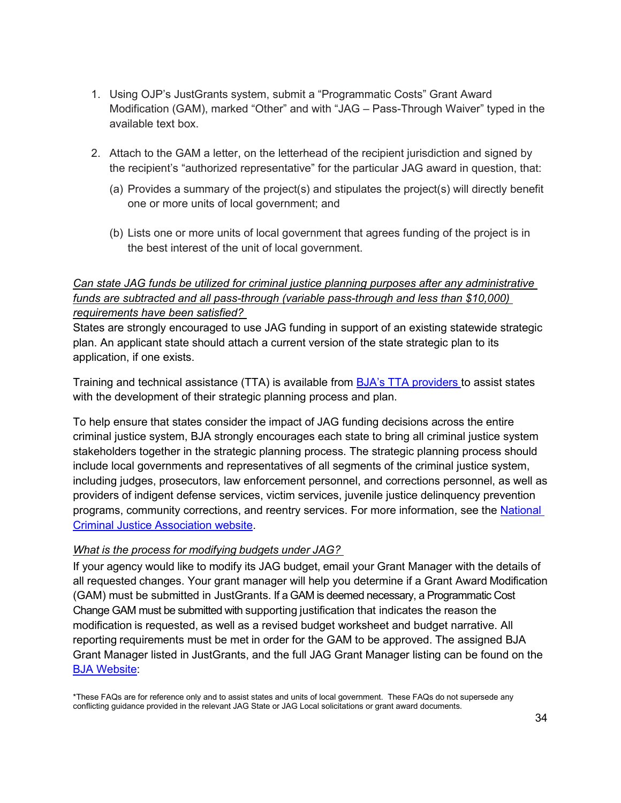- 1. Using OJP's JustGrants system, submit a "Programmatic Costs" Grant Award Modification (GAM), marked "Other" and with "JAG – Pass-Through Waiver" typed in the available text box.
- 2. Attach to the GAM a letter, on the letterhead of the recipient jurisdiction and signed by the recipient's "authorized representative" for the particular JAG award in question, that:
	- (a) Provides a summary of the project(s) and stipulates the project(s) will directly benefit one or more units of local government; and
	- (b) Lists one or more units of local government that agrees funding of the project is in the best interest of the unit of local government.

# *Can state JAG funds be utilized for criminal justice planning purposes after any administrative funds are subtracted and all pass-through (variable pass-through and less than \$10,000) requirements have been satisfied?*

States are strongly encouraged to use JAG funding in support of an existing statewide strategic plan. An applicant state should attach a current version of the state strategic plan to its application, if one exists.

Training and technical assistance (TTA) is available from [BJA's TTA providers t](https://bjatta.bja.ojp.gov/)o assist states with the development of their strategic planning process and plan.

To help ensure that states consider the impact of JAG funding decisions across the entire criminal justice system, BJA strongly encourages each state to bring all criminal justice system stakeholders together in the strategic planning process. The strategic planning process should include local governments and representatives of all segments of the criminal justice system, including judges, prosecutors, law enforcement personnel, and corrections personnel, as well as providers of indigent defense services, victim services, juvenile justice delinquency prevention programs, community corrections, and reentry services. For more information, see the [National](https://www.ncja.org/strategic-planning)  [Criminal Justice Association website.](https://www.ncja.org/strategic-planning)

#### <span id="page-33-0"></span>*What is the process for modifying budgets under JAG?*

If your agency would like to modify its JAG budget, email your Grant Manager with the details of all requested changes. Your grant manager will help you determine if a Grant Award Modification (GAM) must be submitted in JustGrants. If a GAM is deemed necessary, a Programmatic Cost Change GAM must be submitted with supporting justification that indicates the reason the modification is requested, as well as a revised budget worksheet and budget narrative. All reporting requirements must be met in order for the GAM to be approved. The assigned BJA Grant Manager listed in JustGrants, and the full JAG Grant Manager listing can be found on the [BJA Website:](https://bja.ojp.gov/contact-us)